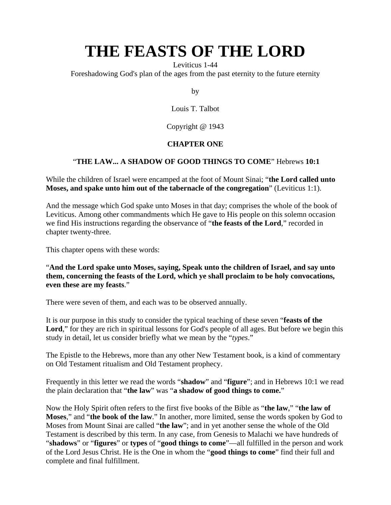Leviticus 1-44

Foreshadowing God's plan of the ages from the past eternity to the future eternity

by

Louis T. Talbot

Copyright @ 1943

## **CHAPTER ONE**

### "**THE LAW... A SHADOW OF GOOD THINGS TO COME**" Hebrews **10:1**

While the children of Israel were encamped at the foot of Mount Sinai; "**the Lord called unto Moses, and spake unto him out of the tabernacle of the congregation**" (Leviticus 1:1).

And the message which God spake unto Moses in that day; comprises the whole of the book of Leviticus. Among other commandments which He gave to His people on this solemn occasion we find His instructions regarding the observance of "**the feasts of the Lord**," recorded in chapter twenty-three.

This chapter opens with these words:

"**And the Lord spake unto Moses, saying, Speak unto the children of Israel, and say unto them, concerning the feasts of the Lord, which ye shall proclaim to be holy convocations, even these are my feasts**."

There were seven of them, and each was to be observed annually.

It is our purpose in this study to consider the typical teaching of these seven "**feasts of the**  Lord," for they are rich in spiritual lessons for God's people of all ages. But before we begin this study in detail, let us consider briefly what we mean by the "*types*."

The Epistle to the Hebrews, more than any other New Testament book, is a kind of commentary on Old Testament ritualism and Old Testament prophecy.

Frequently in this letter we read the words "**shadow**" and "**figure**"; and in Hebrews 10:1 we read the plain declaration that "**the law**" was "**a shadow of good things to come.**"

Now the Holy Spirit often refers to the first five books of the Bible as "**the law**," "**the law of Moses**," and "**the book of the law**." In another, more limited, sense the words spoken by God to Moses from Mount Sinai are called "**the law**"; and in yet another sense the whole of the Old Testament is described by this term. In any case, from Genesis to Malachi we have hundreds of "**shadows**" or "**figures**" or **types** of "**good things to come**"—all fulfilled in the person and work of the Lord Jesus Christ. He is the One in whom the "**good things to come**" find their full and complete and final fulfillment.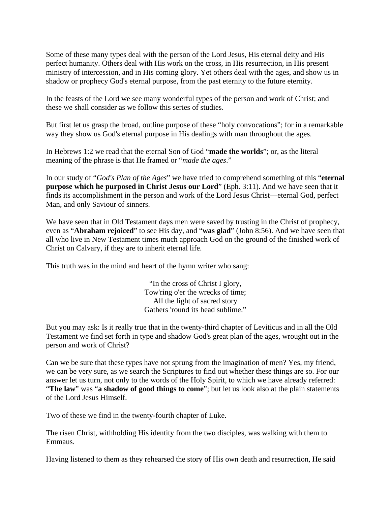Some of these many types deal with the person of the Lord Jesus, His eternal deity and His perfect humanity. Others deal with His work on the cross, in His resurrection, in His present ministry of intercession, and in His coming glory. Yet others deal with the ages, and show us in shadow or prophecy God's eternal purpose, from the past eternity to the future eternity.

In the feasts of the Lord we see many wonderful types of the person and work of Christ; and these we shall consider as we follow this series of studies.

But first let us grasp the broad, outline purpose of these "holy convocations"; for in a remarkable way they show us God's eternal purpose in His dealings with man throughout the ages.

In Hebrews 1:2 we read that the eternal Son of God "**made the worlds**"; or, as the literal meaning of the phrase is that He framed or "*made the ages*."

In our study of "*God's Plan of the Ages*" we have tried to comprehend something of this "**eternal purpose which he purposed in Christ Jesus our Lord**" (Eph. 3:11). And we have seen that it finds its accomplishment in the person and work of the Lord Jesus Christ—eternal God, perfect Man, and only Saviour of sinners.

We have seen that in Old Testament days men were saved by trusting in the Christ of prophecy, even as "**Abraham rejoiced**" to see His day, and "**was glad**" (John 8:56). And we have seen that all who live in New Testament times much approach God on the ground of the finished work of Christ on Calvary, if they are to inherit eternal life.

This truth was in the mind and heart of the hymn writer who sang:

"In the cross of Christ I glory, Tow'ring o'er the wrecks of time; All the light of sacred story Gathers 'round its head sublime."

But you may ask: Is it really true that in the twenty-third chapter of Leviticus and in all the Old Testament we find set forth in type and shadow God's great plan of the ages, wrought out in the person and work of Christ?

Can we be sure that these types have not sprung from the imagination of men? Yes, my friend, we can be very sure, as we search the Scriptures to find out whether these things are so. For our answer let us turn, not only to the words of the Holy Spirit, to which we have already referred: "**The law**" was "**a shadow of good things to come**"; but let us look also at the plain statements of the Lord Jesus Himself.

Two of these we find in the twenty-fourth chapter of Luke.

The risen Christ, withholding His identity from the two disciples, was walking with them to **Emmaus** 

Having listened to them as they rehearsed the story of His own death and resurrection, He said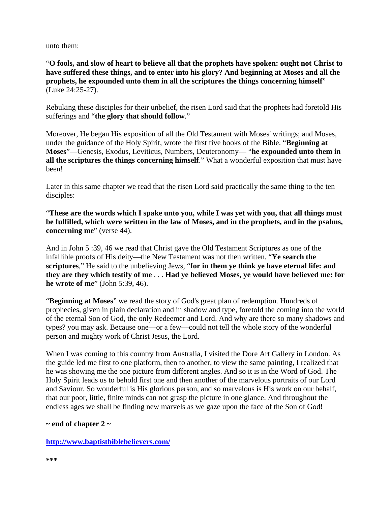unto them:

"**O fools, and slow of heart to believe all that the prophets have spoken: ought not Christ to have suffered these things, and to enter into his glory? And beginning at Moses and all the prophets, he expounded unto them in all the scriptures the things concerning himself**" (Luke 24:25-27).

Rebuking these disciples for their unbelief, the risen Lord said that the prophets had foretold His sufferings and "**the glory that should follow**."

Moreover, He began His exposition of all the Old Testament with Moses' writings; and Moses, under the guidance of the Holy Spirit, wrote the first five books of the Bible. "**Beginning at Moses**"—Genesis, Exodus, Leviticus, Numbers, Deuteronomy— "**he expounded unto them in all the scriptures the things concerning himself**." What a wonderful exposition that must have been!

Later in this same chapter we read that the risen Lord said practically the same thing to the ten disciples:

"**These are the words which I spake unto you, while I was yet with you, that all things must be fulfilled, which were written in the law of Moses, and in the prophets, and in the psalms, concerning me**" (verse 44).

And in John 5 :39, 46 we read that Christ gave the Old Testament Scriptures as one of the infallible proofs of His deity—the New Testament was not then written. "**Ye search the scriptures**," He said to the unbelieving Jews, "**for in them ye think ye have eternal life: and they are they which testify of me** . . . **Had ye believed Moses, ye would have believed me: for he wrote of me**" (John 5:39, 46).

"**Beginning at Moses**" we read the story of God's great plan of redemption. Hundreds of prophecies, given in plain declaration and in shadow and type, foretold the coming into the world of the eternal Son of God, the only Redeemer and Lord. And why are there so many shadows and types? you may ask. Because one—or a few—could not tell the whole story of the wonderful person and mighty work of Christ Jesus, the Lord.

When I was coming to this country from Australia, I visited the Dore Art Gallery in London. As the guide led me first to one platform, then to another, to view the same painting, I realized that he was showing me the one picture from different angles. And so it is in the Word of God. The Holy Spirit leads us to behold first one and then another of the marvelous portraits of our Lord and Saviour. So wonderful is His glorious person, and so marvelous is His work on our behalf, that our poor, little, finite minds can not grasp the picture in one glance. And throughout the endless ages we shall be finding new marvels as we gaze upon the face of the Son of God!

#### **~ end of chapter 2 ~**

#### **<http://www.baptistbiblebelievers.com/>**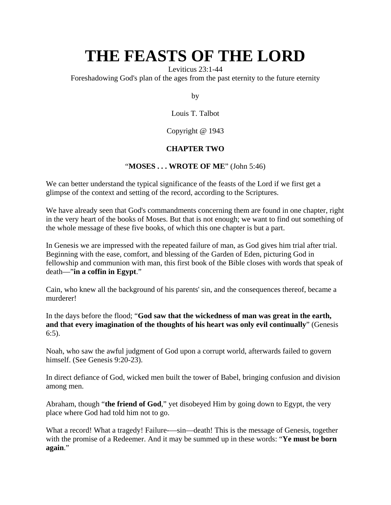Leviticus 23:1-44

Foreshadowing God's plan of the ages from the past eternity to the future eternity

by

Louis T. Talbot

Copyright @ 1943

### **CHAPTER TWO**

#### "**MOSES . . . WROTE OF ME**" (John 5:46)

We can better understand the typical significance of the feasts of the Lord if we first get a glimpse of the context and setting of the record, according to the Scriptures.

We have already seen that God's commandments concerning them are found in one chapter, right in the very heart of the books of Moses. But that is not enough; we want to find out something of the whole message of these five books, of which this one chapter is but a part.

In Genesis we are impressed with the repeated failure of man, as God gives him trial after trial. Beginning with the ease, comfort, and blessing of the Garden of Eden, picturing God in fellowship and communion with man, this first book of the Bible closes with words that speak of death—"**in a coffin in Egypt**."

Cain, who knew all the background of his parents' sin, and the consequences thereof, became a murderer!

In the days before the flood; "**God saw that the wickedness of man was great in the earth, and that every imagination of the thoughts of his heart was only evil continually**" (Genesis 6:5).

Noah, who saw the awful judgment of God upon a corrupt world, afterwards failed to govern himself. (See Genesis 9:20-23).

In direct defiance of God, wicked men built the tower of Babel, bringing confusion and division among men.

Abraham, though "**the friend of God**," yet disobeyed Him by going down to Egypt, the very place where God had told him not to go.

What a record! What a tragedy! Failure—sin—death! This is the message of Genesis, together with the promise of a Redeemer. And it may be summed up in these words: "**Ye must be born again**."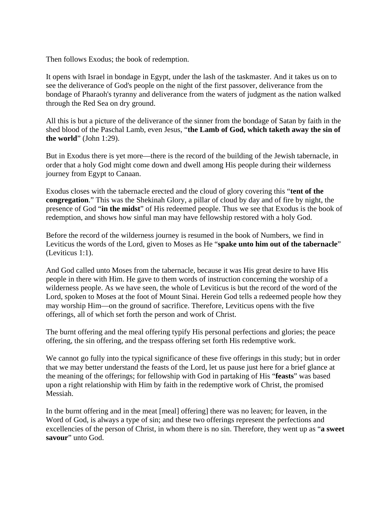Then follows Exodus; the book of redemption.

It opens with Israel in bondage in Egypt, under the lash of the taskmaster. And it takes us on to see the deliverance of God's people on the night of the first passover, deliverance from the bondage of Pharaoh's tyranny and deliverance from the waters of judgment as the nation walked through the Red Sea on dry ground.

All this is but a picture of the deliverance of the sinner from the bondage of Satan by faith in the shed blood of the Paschal Lamb, even Jesus, "**the Lamb of God, which taketh away the sin of the world**" (John 1:29).

But in Exodus there is yet more—there is the record of the building of the Jewish tabernacle, in order that a holy God might come down and dwell among His people during their wilderness journey from Egypt to Canaan.

Exodus closes with the tabernacle erected and the cloud of glory covering this "**tent of the congregation**." This was the Shekinah Glory, a pillar of cloud by day and of fire by night, the presence of God "**in the midst**" of His redeemed people. Thus we see that Exodus is the book of redemption, and shows how sinful man may have fellowship restored with a holy God.

Before the record of the wilderness journey is resumed in the book of Numbers, we find in Leviticus the words of the Lord, given to Moses as He "**spake unto him out of the tabernacle**" (Leviticus 1:1).

And God called unto Moses from the tabernacle, because it was His great desire to have His people in there with Him. He gave to them words of instruction concerning the worship of a wilderness people. As we have seen, the whole of Leviticus is but the record of the word of the Lord, spoken to Moses at the foot of Mount Sinai. Herein God tells a redeemed people how they may worship Him—on the ground of sacrifice. Therefore, Leviticus opens with the five offerings, all of which set forth the person and work of Christ.

The burnt offering and the meal offering typify His personal perfections and glories; the peace offering, the sin offering, and the trespass offering set forth His redemptive work.

We cannot go fully into the typical significance of these five offerings in this study; but in order that we may better understand the feasts of the Lord, let us pause just here for a brief glance at the meaning of the offerings; for fellowship with God in partaking of His "**feasts**" was based upon a right relationship with Him by faith in the redemptive work of Christ, the promised Messiah.

In the burnt offering and in the meat [meal] offering] there was no leaven; for leaven, in the Word of God, is always a type of sin; and these two offerings represent the perfections and excellencies of the person of Christ, in whom there is no sin. Therefore, they went up as "**a sweet savour**" unto God.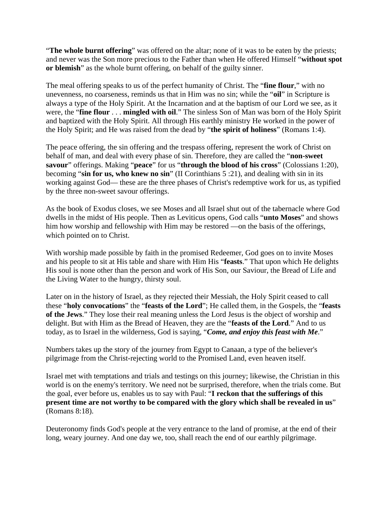"The whole burnt offering" was offered on the altar; none of it was to be eaten by the priests; and never was the Son more precious to the Father than when He offered Himself "**without spot or blemish**" as the whole burnt offering, on behalf of the guilty sinner.

The meal offering speaks to us of the perfect humanity of Christ. The "**fine flour**," with no unevenness, no coarseness, reminds us that in Him was no sin; while the "**oil**" in Scripture is always a type of the Holy Spirit. At the Incarnation and at the baptism of our Lord we see, as it were, the "**fine flour** . . . **mingled with oil**." The sinless Son of Man was born of the Holy Spirit and baptized with the Holy Spirit. All through His earthly ministry He worked in the power of the Holy Spirit; and He was raised from the dead by "**the spirit of holiness**" (Romans 1:4).

The peace offering, the sin offering and the trespass offering, represent the work of Christ on behalf of man, and deal with every phase of sin. Therefore, they are called the "**non-sweet savour**" offerings. Making "**peace**" for us "**through the blood of his cross**" (Colossians 1:20), becoming "**sin for us, who knew no sin**" (II Corinthians 5 :21), and dealing with sin in its working against God— these are the three phases of Christ's redemptive work for us, as typified by the three non-sweet savour offerings.

As the book of Exodus closes, we see Moses and all Israel shut out of the tabernacle where God dwells in the midst of His people. Then as Leviticus opens, God calls "**unto Moses**" and shows him how worship and fellowship with Him may be restored —on the basis of the offerings, which pointed on to Christ.

With worship made possible by faith in the promised Redeemer, God goes on to invite Moses and his people to sit at His table and share with Him His "**feasts**." That upon which He delights His soul is none other than the person and work of His Son, our Saviour, the Bread of Life and the Living Water to the hungry, thirsty soul.

Later on in the history of Israel, as they rejected their Messiah, the Holy Spirit ceased to call these "**holy convocations**" the "**feasts of the Lord**"; He called them, in the Gospels, the "**feasts of the Jews**." They lose their real meaning unless the Lord Jesus is the object of worship and delight. But with Him as the Bread of Heaven, they are the "**feasts of the Lord**." And to us today, as to Israel in the wilderness, God is saying, "*Come, and enjoy this feast with Me*."

Numbers takes up the story of the journey from Egypt to Canaan, a type of the believer's pilgrimage from the Christ-rejecting world to the Promised Land, even heaven itself.

Israel met with temptations and trials and testings on this journey; likewise, the Christian in this world is on the enemy's territory. We need not be surprised, therefore, when the trials come. But the goal, ever before us, enables us to say with Paul: "**I reckon that the sufferings of this present time are not worthy to be compared with the glory which shall be revealed in us**" (Romans 8:18).

Deuteronomy finds God's people at the very entrance to the land of promise, at the end of their long, weary journey. And one day we, too, shall reach the end of our earthly pilgrimage.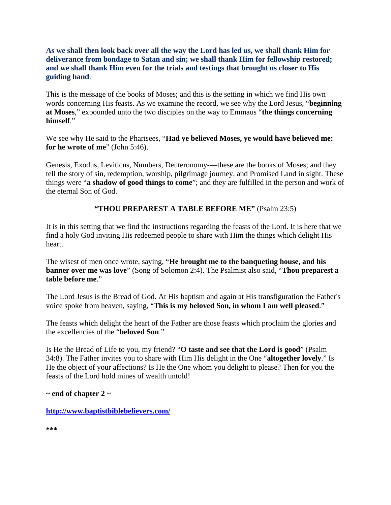#### **As we shall then look back over all the way the Lord has led us, we shall thank Him for deliverance from bondage to Satan and sin; we shall thank Him for fellowship restored; and we shall thank Him even for the trials and testings that brought us closer to His guiding hand**.

This is the message of the books of Moses; and this is the setting in which we find His own words concerning His feasts. As we examine the record, we see why the Lord Jesus, "**beginning at Moses**," expounded unto the two disciples on the way to Emmaus "**the things concerning himself**."

We see why He said to the Pharisees, "**Had ye believed Moses, ye would have believed me: for he wrote of me**" (John 5:46).

Genesis, Exodus, Leviticus, Numbers, Deuteronomy-—these are the books of Moses; and they tell the story of sin, redemption, worship, pilgrimage journey, and Promised Land in sight. These things were "**a shadow of good things to come**"; and they are fulfilled in the person and work of the eternal Son of God.

**"THOU PREPAREST A TABLE BEFORE ME"** (Psalm 23:5)

It is in this setting that we find the instructions regarding the feasts of the Lord. It is here that we find a holy God inviting His redeemed people to share with Him the things which delight His heart.

The wisest of men once wrote, saying, "**He brought me to the banqueting house, and his banner over me was love**" (Song of Solomon 2:4). The Psalmist also said, "**Thou preparest a table before me**."

The Lord Jesus is the Bread of God. At His baptism and again at His transfiguration the Father's voice spoke from heaven, saying, "**This is my beloved Son, in whom I am well pleased**."

The feasts which delight the heart of the Father are those feasts which proclaim the glories and the excellencies of the "**beloved Son**."

Is He the Bread of Life to you, my friend? "**O taste and see that the Lord is good**" (Psalm 34:8). The Father invites you to share with Him His delight in the One "**altogether lovely**." Is He the object of your affections? Is He the One whom you delight to please? Then for you the feasts of the Lord hold mines of wealth untold!

**~ end of chapter 2 ~**

**<http://www.baptistbiblebelievers.com/>**

**\*\*\***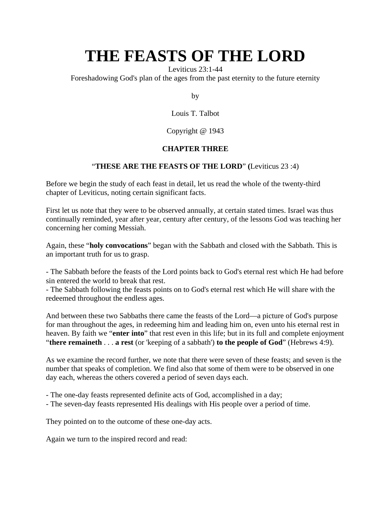Leviticus 23:1-44

Foreshadowing God's plan of the ages from the past eternity to the future eternity

by

Louis T. Talbot

Copyright @ 1943

#### **CHAPTER THREE**

#### "**THESE ARE THE FEASTS OF THE LORD**" **(**Leviticus 23 :4)

Before we begin the study of each feast in detail, let us read the whole of the twenty-third chapter of Leviticus, noting certain significant facts.

First let us note that they were to be observed annually, at certain stated times. Israel was thus continually reminded, year after year, century after century, of the lessons God was teaching her concerning her coming Messiah.

Again, these "**holy convocations**" began with the Sabbath and closed with the Sabbath. This is an important truth for us to grasp.

- The Sabbath before the feasts of the Lord points back to God's eternal rest which He had before sin entered the world to break that rest.

- The Sabbath following the feasts points on to God's eternal rest which He will share with the redeemed throughout the endless ages.

And between these two Sabbaths there came the feasts of the Lord—a picture of God's purpose for man throughout the ages, in redeeming him and leading him on, even unto his eternal rest in heaven. By faith we "**enter into**" that rest even in this life; but in its full and complete enjoyment "**there remaineth** . . . **a rest** (or 'keeping of a sabbath') **to the people of God**" (Hebrews 4:9).

As we examine the record further, we note that there were seven of these feasts; and seven is the number that speaks of completion. We find also that some of them were to be observed in one day each, whereas the others covered a period of seven days each.

- The one-day feasts represented definite acts of God, accomplished in a day;

- The seven-day feasts represented His dealings with His people over a period of time.

They pointed on to the outcome of these one-day acts.

Again we turn to the inspired record and read: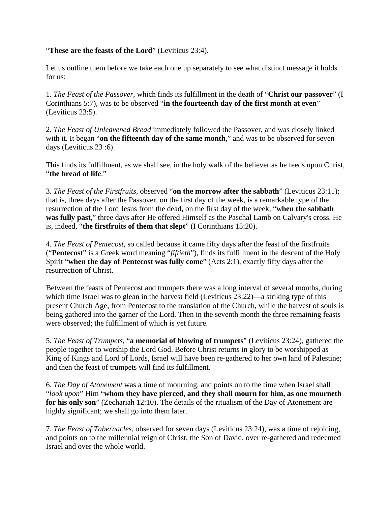#### "**These are the feasts of the Lord**" (Leviticus 23:4).

Let us outline them before we take each one up separately to see what distinct message it holds for us:

1. *The Feast of the Passover*, which finds its fulfillment in the death of "**Christ our passover**" (I Corinthians 5:7), was to be observed "**in the fourteenth day of the first month at even**" (Leviticus 23:5).

2. *The Feast of Unleavened Bread* immediately followed the Passover, and was closely linked with it. It began "**on the fifteenth day of the same month**," and was to be observed for seven days (Leviticus 23 :6).

This finds its fulfillment, as we shall see, in the holy walk of the believer as he feeds upon Christ, "**the bread of life**."

3. *The Feast of the Firstfruits*, observed "**on the morrow after the sabbath**" (Leviticus 23:11); that is, three days after the Passover, on the first day of the week, is a remarkable type of the resurrection of the Lord Jesus from the dead, on the first day of the week, "**when the sabbath was fully past**," three days after He offered Himself as the Paschal Lamb on Calvary's cross. He is, indeed, "**the firstfruits of them that slept**" (I Corinthians 15:20).

4. *The Feast of Pentecost*, so called because it came fifty days after the feast of the firstfruits ("**Pentecost**" is a Greek word meaning "*fiftieth*"), finds its fulfillment in the descent of the Holy Spirit "**when the day of Pentecost was fully come**" (Acts 2:1), exactly fifty days after the resurrection of Christ.

Between the feasts of Pentecost and trumpets there was a long interval of several months, during which time Israel was to glean in the harvest field (Leviticus 23:22)—a striking type of this present Church Age, from Pentecost to the translation of the Church, while the harvest of souls is being gathered into the garner of the Lord. Then in the seventh month the three remaining feasts were observed; the fulfillment of which is yet future.

5. *The Feast of Trumpets*, "**a memorial of blowing of trumpets**" (Leviticus 23:24), gathered the people together to worship the Lord God. Before Christ returns in glory to be worshipped as King of Kings and Lord of Lords, Israel will have been re-gathered to her own land of Palestine; and then the feast of trumpets will find its fulfillment.

6. *The Day of Atonement* was a time of mourning, and points on to the time when Israel shall "*look upon*" Him "**whom they have pierced, and they shall mourn for him, as one mourneth for his only son**" (Zechariah 12:10). The details of the ritualism of the Day of Atonement are highly significant; we shall go into them later.

7. *The Feast of Tabernacles*, observed for seven days (Leviticus 23:24), was a time of rejoicing, and points on to the millennial reign of Christ, the Son of David, over re-gathered and redeemed Israel and over the whole world.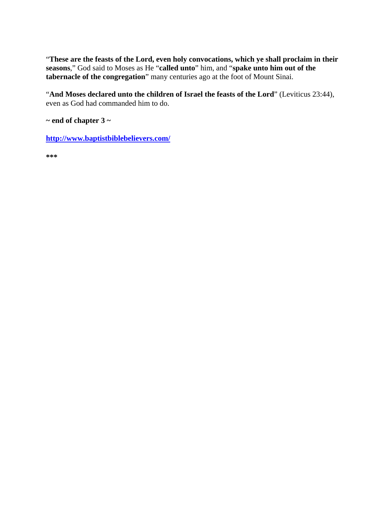"**These are the feasts of the Lord, even holy convocations, which ye shall proclaim in their seasons**," God said to Moses as He "**called unto**" him, and "**spake unto him out of the tabernacle of the congregation**" many centuries ago at the foot of Mount Sinai.

"**And Moses declared unto the children of Israel the feasts of the Lord**" (Leviticus 23:44), even as God had commanded him to do.

**~ end of chapter 3 ~**

**<http://www.baptistbiblebelievers.com/>**

**\*\*\***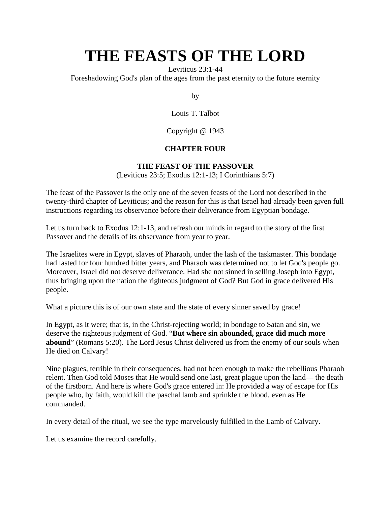Leviticus 23:1-44

Foreshadowing God's plan of the ages from the past eternity to the future eternity

by

Louis T. Talbot

Copyright @ 1943

## **CHAPTER FOUR**

## **THE FEAST OF THE PASSOVER**

(Leviticus 23:5; Exodus 12:1-13; I Corinthians 5:7)

The feast of the Passover is the only one of the seven feasts of the Lord not described in the twenty-third chapter of Leviticus; and the reason for this is that Israel had already been given full instructions regarding its observance before their deliverance from Egyptian bondage.

Let us turn back to Exodus 12:1-13, and refresh our minds in regard to the story of the first Passover and the details of its observance from year to year.

The Israelites were in Egypt, slaves of Pharaoh, under the lash of the taskmaster. This bondage had lasted for four hundred bitter years, and Pharaoh was determined not to let God's people go. Moreover, Israel did not deserve deliverance. Had she not sinned in selling Joseph into Egypt, thus bringing upon the nation the righteous judgment of God? But God in grace delivered His people.

What a picture this is of our own state and the state of every sinner saved by grace!

In Egypt, as it were; that is, in the Christ-rejecting world; in bondage to Satan and sin, we deserve the righteous judgment of God. "**But where sin abounded, grace did much more abound**" (Romans 5:20). The Lord Jesus Christ delivered us from the enemy of our souls when He died on Calvary!

Nine plagues, terrible in their consequences, had not been enough to make the rebellious Pharaoh relent. Then God told Moses that He would send one last, great plague upon the land— the death of the firstborn. And here is where God's grace entered in: He provided a way of escape for His people who, by faith, would kill the paschal lamb and sprinkle the blood, even as He commanded.

In every detail of the ritual, we see the type marvelously fulfilled in the Lamb of Calvary.

Let us examine the record carefully.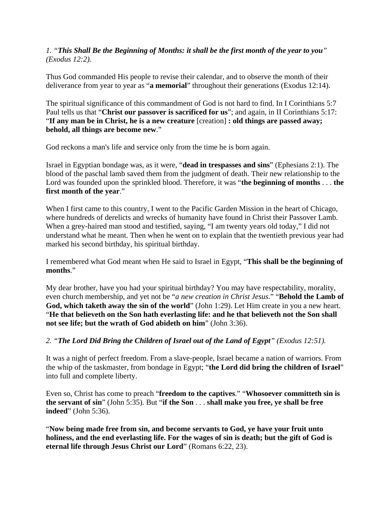#### *1. "This Shall Be the Beginning of Months: it shall be the first month of the year to you" (Exodus 12:2).*

Thus God commanded His people to revise their calendar, and to observe the month of their deliverance from year to year as "**a memorial**" throughout their generations (Exodus 12:14).

The spiritual significance of this commandment of God is not hard to find. In I Corinthians 5:7 Paul tells us that "**Christ our passover is sacrificed for us**"; and again, in II Corinthians 5:17: "**If any man be in Christ, he is a new creature** [creation] **: old things are passed away; behold, all things are become new**."

God reckons a man's life and service only from the time he is born again.

Israel in Egyptian bondage was, as it were, "**dead in trespasses and sins**" (Ephesians 2:1). The blood of the paschal lamb saved them from the judgment of death. Their new relationship to the Lord was founded upon the sprinkled blood. Therefore, it was "**the beginning of months** . . . **the first month of the year**."

When I first came to this country, I went to the Pacific Garden Mission in the heart of Chicago, where hundreds of derelicts and wrecks of humanity have found in Christ their Passover Lamb. When a grey-haired man stood and testified, saying, "I am twenty years old today," I did not understand what he meant. Then when he went on to explain that the twentieth previous year had marked his second birthday, his spiritual birthday.

I remembered what God meant when He said to Israel in Egypt, "**This shall be the beginning of months**."

My dear brother, have you had your spiritual birthday? You may have respectability, morality, even church membership, and yet not be "*a new creation in Christ Jesus*." "**Behold the Lamb of God, which taketh away the sin of the world**" (John 1:29). Let Him create in you a new heart. "**He that believeth on the Son hath everlasting life: and he that believeth not the Son shall not see life; but the wrath of God abideth on him**" (John 3:36).

*2. "The Lord Did Bring the Children of Israel out of the Land of Egypt" (Exodus 12:51).*

It was a night of perfect freedom. From a slave-people, Israel became a nation of warriors. From the whip of the taskmaster, from bondage in Egypt; "**the Lord did bring the children of Israel**" into full and complete liberty.

Even so, Christ has come to preach "**freedom to the captives**." "**Whosoever committeth sin is the servant of sin**" (John 5:35). But "**if the Son** . . . **shall make you free, ye shall be free indeed**" (John 5:36).

"**Now being made free from sin, and become servants to God, ye have your fruit unto holiness, and the end everlasting life. For the wages of sin is death; but the gift of God is eternal life through Jesus Christ our Lord**" (Romans 6:22, 23).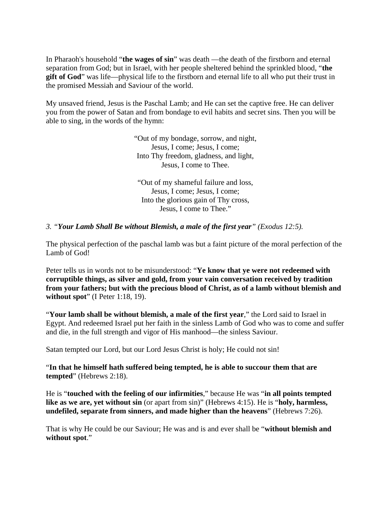In Pharaoh's household "**the wages of sin**" was death —the death of the firstborn and eternal separation from God; but in Israel, with her people sheltered behind the sprinkled blood, "**the gift of God**" was life—physical life to the firstborn and eternal life to all who put their trust in the promised Messiah and Saviour of the world.

My unsaved friend, Jesus is the Paschal Lamb; and He can set the captive free. He can deliver you from the power of Satan and from bondage to evil habits and secret sins. Then you will be able to sing, in the words of the hymn:

> "Out of my bondage, sorrow, and night, Jesus, I come; Jesus, I come; Into Thy freedom, gladness, and light, Jesus, I come to Thee.

"Out of my shameful failure and loss, Jesus, I come; Jesus, I come; Into the glorious gain of Thy cross, Jesus, I come to Thee."

#### *3. "Your Lamb Shall Be without Blemish, a male of the first year" (Exodus 12:5).*

The physical perfection of the paschal lamb was but a faint picture of the moral perfection of the Lamb of God!

Peter tells us in words not to be misunderstood: "**Ye know that ye were not redeemed with corruptible things, as silver and gold, from your vain conversation received by tradition from your fathers; but with the precious blood of Christ, as of a lamb without blemish and without spot**" (I Peter 1:18, 19).

"**Your lamb shall be without blemish, a male of the first year**," the Lord said to Israel in Egypt. And redeemed Israel put her faith in the sinless Lamb of God who was to come and suffer and die, in the full strength and vigor of His manhood—the sinless Saviour.

Satan tempted our Lord, but our Lord Jesus Christ is holy; He could not sin!

"**In that he himself hath suffered being tempted, he is able to succour them that are tempted**" (Hebrews 2:18).

He is "**touched with the feeling of our infirmities**," because He was "**in all points tempted like as we are, yet without sin** (or apart from sin)" (Hebrews 4:15). He is "**holy, harmless, undefiled, separate from sinners, and made higher than the heavens**" (Hebrews 7:26).

That is why He could be our Saviour; He was and is and ever shall be "**without blemish and without spot**."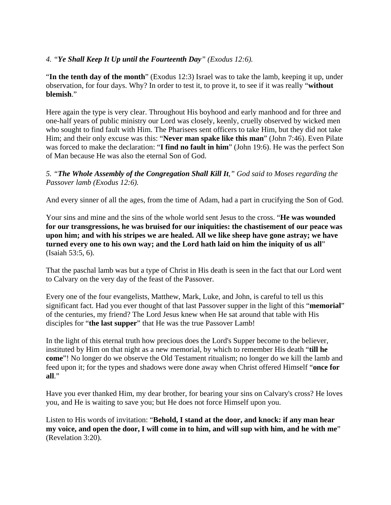#### *4. "Ye Shall Keep It Up until the Fourteenth Day" (Exodus 12:6).*

"**In the tenth day of the month**" (Exodus 12:3) Israel was to take the lamb, keeping it up, under observation, for four days. Why? In order to test it, to prove it, to see if it was really "**without blemish**."

Here again the type is very clear. Throughout His boyhood and early manhood and for three and one-half years of public ministry our Lord was closely, keenly, cruelly observed by wicked men who sought to find fault with Him. The Pharisees sent officers to take Him, but they did not take Him; and their only excuse was this: "**Never man spake like this man**" (John 7:46). Even Pilate was forced to make the declaration: "**I find no fault in him**" (John 19:6). He was the perfect Son of Man because He was also the eternal Son of God.

*5. "The Whole Assembly of the Congregation Shall Kill It," God said to Moses regarding the Passover lamb (Exodus 12:6).*

And every sinner of all the ages, from the time of Adam, had a part in crucifying the Son of God.

Your sins and mine and the sins of the whole world sent Jesus to the cross. "**He was wounded for our transgressions, he was bruised for our iniquities: the chastisement of our peace was upon him; and with his stripes we are healed. All we like sheep have gone astray; we have turned every one to his own way; and the Lord hath laid on him the iniquity of us all**" (Isaiah 53:5, 6).

That the paschal lamb was but a type of Christ in His death is seen in the fact that our Lord went to Calvary on the very day of the feast of the Passover.

Every one of the four evangelists, Matthew, Mark, Luke, and John, is careful to tell us this significant fact. Had you ever thought of that last Passover supper in the light of this "**memorial**" of the centuries, my friend? The Lord Jesus knew when He sat around that table with His disciples for "**the last supper**" that He was the true Passover Lamb!

In the light of this eternal truth how precious does the Lord's Supper become to the believer, instituted by Him on that night as a new memorial, by which to remember His death "**till he come**"! No longer do we observe the Old Testament ritualism; no longer do we kill the lamb and feed upon it; for the types and shadows were done away when Christ offered Himself "**once for all**."

Have you ever thanked Him, my dear brother, for bearing your sins on Calvary's cross? He loves you, and He is waiting to save you; but He does not force Himself upon you.

Listen to His words of invitation: "**Behold, I stand at the door, and knock: if any man hear my voice, and open the door, I will come in to him, and will sup with him, and he with me**" (Revelation 3:20).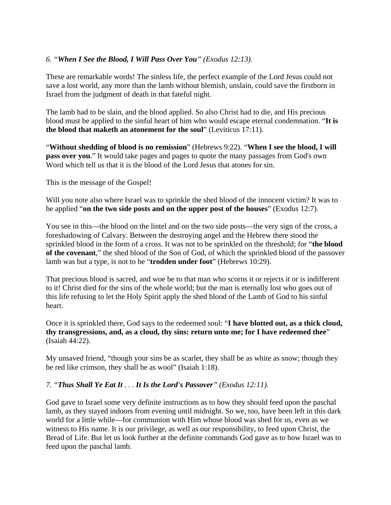#### *6. "When I See the Blood, I Will Pass Over You" (Exodus 12:13).*

These are remarkable words! The sinless life, the perfect example of the Lord Jesus could not save a lost world, any more than the lamb without blemish, unslain, could save the firstborn in Israel from the judgment of death in that fateful night.

The lamb had to be slain, and the blood applied. So also Christ had to die, and His precious blood must be applied to the sinful heart of him who would escape eternal condemnation. "**It is the blood that maketh an atonement for the soul**" (Leviticus 17:11).

"**Without shedding of blood is no remission**" (Hebrews 9:22). "**When I see the blood, I will pass over you.**" It would take pages and pages to quote the many passages from God's own Word which tell us that it is the blood of the Lord Jesus that atones for sin.

This is the message of the Gospel!

Will you note also where Israel was to sprinkle the shed blood of the innocent victim? It was to be applied "**on the two side posts and on the upper post of the houses**" (Exodus 12:7).

You see in this—the blood on the lintel and on the two side posts—the very sign of the cross, a foreshadowing of Calvary. Between the destroying angel and the Hebrew there stood the sprinkled blood in the form of a cross. It was not to be sprinkled on the threshold; for "**the blood of the covenant**," the shed blood of the Son of God, of which the sprinkled blood of the passover lamb was but a type, is not to be "**trodden under foot**" (Hebrews 10:29).

That precious blood is sacred, and woe be to that man who scorns it or rejects it or is indifferent to it! Christ died for the sins of the whole world; but the man is eternally lost who goes out of this life refusing to let the Holy Spirit apply the shed blood of the Lamb of God to his sinful heart.

Once it is sprinkled there, God says to the redeemed soul: "**I have blotted out, as a thick cloud, thy transgressions, and, as a cloud, thy sins: return unto me; for I have redeemed thee**" (Isaiah 44:22).

My unsaved friend, "though your sins be as scarlet, they shall be as white as snow; though they be red like crimson, they shall be as wool" (Isaiah 1:18).

#### *7. "Thus Shall Ye Eat It . . . It Is the Lord's Passover" (Exodus 12:11).*

God gave to Israel some very definite instructions as to how they should feed upon the paschal lamb, as they stayed indoors from evening until midnight. So we, too, have been left in this dark world for a little while—for communion with Him whose blood was shed for us, even as we witness to His name. It is our privilege, as well as our responsibility, to feed upon Christ, the Bread of Life. But let us look further at the definite commands God gave as to how Israel was to feed upon the paschal lamb.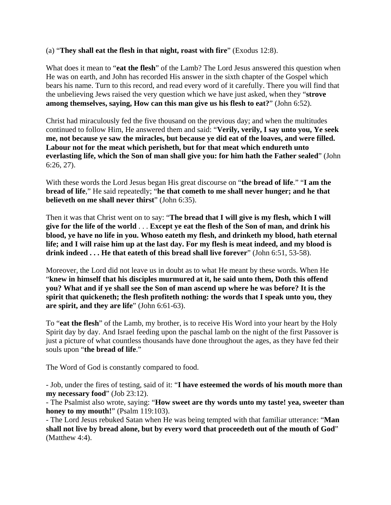#### (a) "**They shall eat the flesh in that night, roast with fire**" (Exodus 12:8).

What does it mean to "**eat the flesh**" of the Lamb? The Lord Jesus answered this question when He was on earth, and John has recorded His answer in the sixth chapter of the Gospel which bears his name. Turn to this record, and read every word of it carefully. There you will find that the unbelieving Jews raised the very question which we have just asked, when they "**strove among themselves, saying, How can this man give us his flesh to eat?**" (John 6:52).

Christ had miraculously fed the five thousand on the previous day; and when the multitudes continued to follow Him, He answered them and said: "**Verily, verily, I say unto you, Ye seek me, not because ye saw the miracles, but because ye did eat of the loaves, and were filled. Labour not for the meat which perisheth, but for that meat which endureth unto everlasting life, which the Son of man shall give you: for him hath the Father sealed**" (John 6:26, 27).

With these words the Lord Jesus began His great discourse on "**the bread of life**." "**I am the bread of life**," He said repeatedly; "**he that cometh to me shall never hunger; and he that believeth on me shall never thirst**" (John 6:35).

Then it was that Christ went on to say: "**The bread that I will give is my flesh, which I will give for the life of the world** . . . **Except ye eat the flesh of the Son of man, and drink his blood, ye have no life in you. Whoso eateth my flesh, and drinketh my blood, hath eternal life; and I will raise him up at the last day. For my flesh is meat indeed, and my blood is drink indeed . . . He that eateth of this bread shall live forever**" (John 6:51, 53-58).

Moreover, the Lord did not leave us in doubt as to what He meant by these words. When He "**knew in himself that his disciples murmured at it, he said unto them, Doth this offend you? What and if ye shall see the Son of man ascend up where he was before? It is the spirit that quickeneth; the flesh profiteth nothing: the words that I speak unto you, they are spirit, and they are life**" (John 6:61-63).

To "**eat the flesh**" of the Lamb, my brother, is to receive His Word into your heart by the Holy Spirit day by day. And Israel feeding upon the paschal lamb on the night of the first Passover is just a picture of what countless thousands have done throughout the ages, as they have fed their souls upon "**the bread of life**."

The Word of God is constantly compared to food.

- Job, under the fires of testing, said of it: "**I have esteemed the words of his mouth more than my necessary food**" (Job 23:12).

- The Psalmist also wrote, saying: "**How sweet are thy words unto my taste! yea, sweeter than honey to my mouth!**" (Psalm 119:103).

- The Lord Jesus rebuked Satan when He was being tempted with that familiar utterance: "**Man shall not live by bread alone, but by every word that proceedeth out of the mouth of God**" (Matthew 4:4).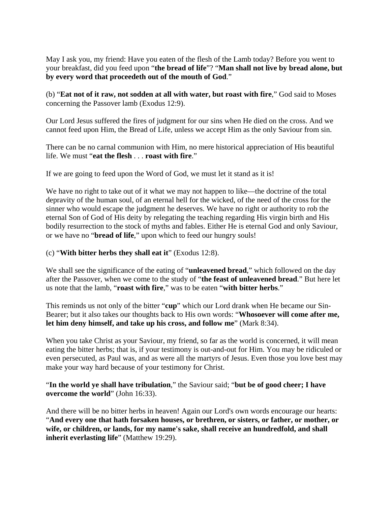May I ask you, my friend: Have you eaten of the flesh of the Lamb today? Before you went to your breakfast, did you feed upon "**the bread of life**"? "**Man shall not live by bread alone, but by every word that proceedeth out of the mouth of God**."

(b) "**Eat not of it raw, not sodden at all with water, but roast with fire**," God said to Moses concerning the Passover lamb (Exodus 12:9).

Our Lord Jesus suffered the fires of judgment for our sins when He died on the cross. And we cannot feed upon Him, the Bread of Life, unless we accept Him as the only Saviour from sin.

There can be no carnal communion with Him, no mere historical appreciation of His beautiful life. We must "**eat the flesh** . . . **roast with fire**."

If we are going to feed upon the Word of God, we must let it stand as it is!

We have no right to take out of it what we may not happen to like—the doctrine of the total depravity of the human soul, of an eternal hell for the wicked, of the need of the cross for the sinner who would escape the judgment he deserves. We have no right or authority to rob the eternal Son of God of His deity by relegating the teaching regarding His virgin birth and His bodily resurrection to the stock of myths and fables. Either He is eternal God and only Saviour, or we have no "**bread of life**," upon which to feed our hungry souls!

(c) "**With bitter herbs they shall eat it**" (Exodus 12:8).

We shall see the significance of the eating of "**unleavened bread**," which followed on the day after the Passover, when we come to the study of "**the feast of unleavened bread**." But here let us note that the lamb, "**roast with fire**," was to be eaten "**with bitter herbs**."

This reminds us not only of the bitter "**cup**" which our Lord drank when He became our Sin-Bearer; but it also takes our thoughts back to His own words: "**Whosoever will come after me, let him deny himself, and take up his cross, and follow me**" (Mark 8:34).

When you take Christ as your Saviour, my friend, so far as the world is concerned, it will mean eating the bitter herbs; that is, if your testimony is out-and-out for Him. You may be ridiculed or even persecuted, as Paul was, and as were all the martyrs of Jesus. Even those you love best may make your way hard because of your testimony for Christ.

#### "**In the world ye shall have tribulation**," the Saviour said; "**but be of good cheer; I have overcome the world**" (John 16:33).

And there will be no bitter herbs in heaven! Again our Lord's own words encourage our hearts: "**And every one that hath forsaken houses, or brethren, or sisters, or father, or mother, or wife, or children, or lands, for my name's sake, shall receive an hundredfold, and shall inherit everlasting life**" (Matthew 19:29).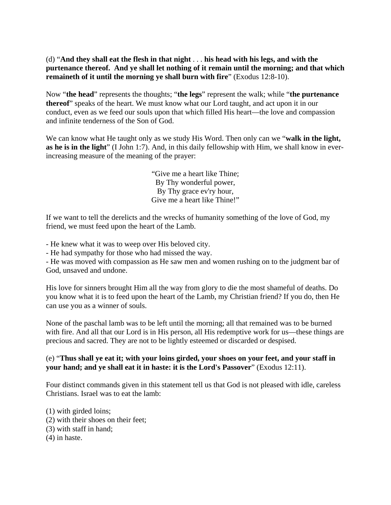(d) "**And they shall eat the flesh in that night** . . . **his head with his legs, and with the purtenance thereof. And ye shall let nothing of it remain until the morning; and that which remaineth of it until the morning ye shall burn with fire**" (Exodus 12:8-10).

Now "**the head**" represents the thoughts; "**the legs**" represent the walk; while "**the purtenance thereof**" speaks of the heart. We must know what our Lord taught, and act upon it in our conduct, even as we feed our souls upon that which filled His heart—the love and compassion and infinite tenderness of the Son of God.

We can know what He taught only as we study His Word. Then only can we "walk in the light, **as he is in the light**" (I John 1:7). And, in this daily fellowship with Him, we shall know in everincreasing measure of the meaning of the prayer:

> "Give me a heart like Thine; By Thy wonderful power, By Thy grace ev'ry hour, Give me a heart like Thine!"

If we want to tell the derelicts and the wrecks of humanity something of the love of God, my friend, we must feed upon the heart of the Lamb.

- He knew what it was to weep over His beloved city.

- He had sympathy for those who had missed the way.

- He was moved with compassion as He saw men and women rushing on to the judgment bar of God, unsaved and undone.

His love for sinners brought Him all the way from glory to die the most shameful of deaths. Do you know what it is to feed upon the heart of the Lamb, my Christian friend? If you do, then He can use you as a winner of souls.

None of the paschal lamb was to be left until the morning; all that remained was to be burned with fire. And all that our Lord is in His person, all His redemptive work for us—these things are precious and sacred. They are not to be lightly esteemed or discarded or despised.

#### (e) "**Thus shall ye eat it; with your loins girded, your shoes on your feet, and your staff in your hand; and ye shall eat it in haste: it is the Lord's Passover**" (Exodus 12:11).

Four distinct commands given in this statement tell us that God is not pleased with idle, careless Christians. Israel was to eat the lamb:

(1) with girded loins; (2) with their shoes on their feet; (3) with staff in hand; (4) in haste.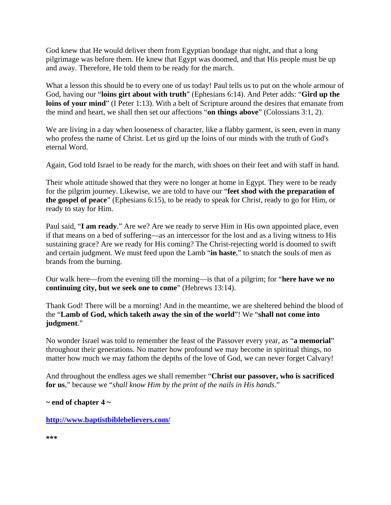God knew that He would deliver them from Egyptian bondage that night, and that a long pilgrimage was before them. He knew that Egypt was doomed, and that His people must be up and away. Therefore, He told them to be ready for the march.

What a lesson this should be to every one of us today! Paul tells us to put on the whole armour of God, having our "**loins girt about with truth**" (Ephesians 6:14). And Peter adds: "**Gird up the**  loins of your mind" (I Peter 1:13). With a belt of Scripture around the desires that emanate from the mind and heart, we shall then set our affections "**on things above**" (Colossians 3:1, 2).

We are living in a day when looseness of character, like a flabby garment, is seen, even in many who profess the name of Christ. Let us gird up the loins of our minds with the truth of God's eternal Word.

Again, God told Israel to be ready for the march, with shoes on their feet and with staff in hand.

Their whole attitude showed that they were no longer at home in Egypt. They were to be ready for the pilgrim journey. Likewise, we are told to have our "**feet shod with the preparation of the gospel of peace**" (Ephesians 6:15), to be ready to speak for Christ, ready to go for Him, or ready to stay for Him.

Paul said, "**I am ready**." Are we? Are we ready to serve Him in His own appointed place, even if that means on a bed of suffering—as an intercessor for the lost and as a living witness to His sustaining grace? Are we ready for His coming? The Christ-rejecting world is doomed to swift and certain judgment. We must feed upon the Lamb "**in haste**," to snatch the souls of men as brands from the burning.

Our walk here—from the evening till the morning—is that of a pilgrim; for "**here have we no continuing city, but we seek one to come**" (Hebrews 13:14).

Thank God! There will be a morning! And in the meantime, we are sheltered behind the blood of the "**Lamb of God, which taketh away the sin of the world**"! We "**shall not come into judgment**."

No wonder Israel was told to remember the feast of the Passover every year, as "**a memorial**" throughout their generations. No matter how profound we may become in spiritual things, no matter how much we may fathom the depths of the love of God, we can never forget Calvary!

And throughout the endless ages we shall remember "**Christ our passover, who is sacrificed for us**," because we "*shall know Him by the print of the nails in His hands*."

**~ end of chapter 4 ~**

**<http://www.baptistbiblebelievers.com/>**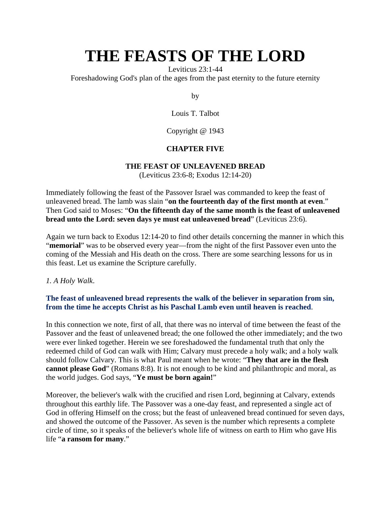Leviticus 23:1-44

Foreshadowing God's plan of the ages from the past eternity to the future eternity

by

Louis T. Talbot

Copyright @ 1943

### **CHAPTER FIVE**

#### **THE FEAST OF UNLEAVENED BREAD**

(Leviticus 23:6-8; Exodus 12:14-20)

Immediately following the feast of the Passover Israel was commanded to keep the feast of unleavened bread. The lamb was slain "**on the fourteenth day of the first month at even**." Then God said to Moses: "**On the fifteenth day of the same month is the feast of unleavened bread unto the Lord: seven days ye must eat unleavened bread**" (Leviticus 23:6).

Again we turn back to Exodus 12:14-20 to find other details concerning the manner in which this "**memorial**" was to be observed every year—from the night of the first Passover even unto the coming of the Messiah and His death on the cross. There are some searching lessons for us in this feast. Let us examine the Scripture carefully.

*1. A Holy Walk*.

#### **The feast of unleavened bread represents the walk of the believer in separation from sin, from the time he accepts Christ as his Paschal Lamb even until heaven is reached**.

In this connection we note, first of all, that there was no interval of time between the feast of the Passover and the feast of unleavened bread; the one followed the other immediately; and the two were ever linked together. Herein we see foreshadowed the fundamental truth that only the redeemed child of God can walk with Him; Calvary must precede a holy walk; and a holy walk should follow Calvary. This is what Paul meant when he wrote: "**They that are in the flesh cannot please God**" (Romans 8:8). It is not enough to be kind and philanthropic and moral, as the world judges. God says, "**Ye must be born again!**"

Moreover, the believer's walk with the crucified and risen Lord, beginning at Calvary, extends throughout this earthly life. The Passover was a one-day feast, and represented a single act of God in offering Himself on the cross; but the feast of unleavened bread continued for seven days, and showed the outcome of the Passover. As seven is the number which represents a complete circle of time, so it speaks of the believer's whole life of witness on earth to Him who gave His life "**a ransom for many**."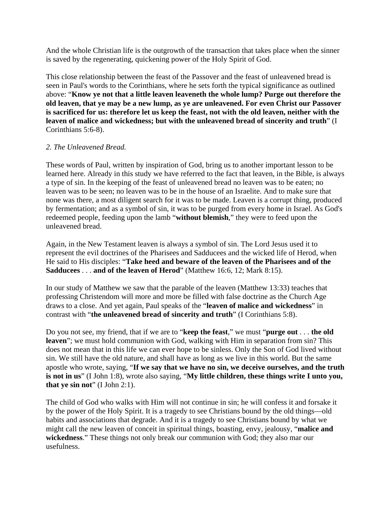And the whole Christian life is the outgrowth of the transaction that takes place when the sinner is saved by the regenerating, quickening power of the Holy Spirit of God.

This close relationship between the feast of the Passover and the feast of unleavened bread is seen in Paul's words to the Corinthians, where he sets forth the typical significance as outlined above: "**Know ye not that a little leaven leaveneth the whole lump? Purge out therefore the old leaven, that ye may be a new lump, as ye are unleavened. For even Christ our Passover is sacrificed for us: therefore let us keep the feast, not with the old leaven, neither with the leaven of malice and wickedness; but with the unleavened bread of sincerity and truth**" (I Corinthians 5:6-8).

#### *2. The Unleavened Bread.*

These words of Paul, written by inspiration of God, bring us to another important lesson to be learned here. Already in this study we have referred to the fact that leaven, in the Bible, is always a type of sin. In the keeping of the feast of unleavened bread no leaven was to be eaten; no leaven was to be seen; no leaven was to be in the house of an Israelite. And to make sure that none was there, a most diligent search for it was to be made. Leaven is a corrupt thing, produced by fermentation; and as a symbol of sin, it was to be purged from every home in Israel. As God's redeemed people, feeding upon the lamb "**without blemish**," they were to feed upon the unleavened bread.

Again, in the New Testament leaven is always a symbol of sin. The Lord Jesus used it to represent the evil doctrines of the Pharisees and Sadducees and the wicked life of Herod, when He said to His disciples: "**Take heed and beware of the leaven of the Pharisees and of the Sadducees** . . . **and of the leaven of Herod**" (Matthew 16:6, 12; Mark 8:15).

In our study of Matthew we saw that the parable of the leaven (Matthew 13:33) teaches that professing Christendom will more and more be filled with false doctrine as the Church Age draws to a close. And yet again, Paul speaks of the "**leaven of malice and wickedness**" in contrast with "**the unleavened bread of sincerity and truth**" (I Corinthians 5:8).

Do you not see, my friend, that if we are to "**keep the feast**," we must "**purge out** . . . **the old leaven**"; we must hold communion with God, walking with Him in separation from sin? This does not mean that in this life we can ever hope to be sinless. Only the Son of God lived without sin. We still have the old nature, and shall have as long as we live in this world. But the same apostle who wrote, saying, "**If we say that we have no sin, we deceive ourselves, and the truth is not in us**" (I John 1:8), wrote also saying, "**My little children, these things write I unto you, that ye sin not**" (I John 2:1).

The child of God who walks with Him will not continue in sin; he will confess it and forsake it by the power of the Holy Spirit. It is a tragedy to see Christians bound by the old things—old habits and associations that degrade. And it is a tragedy to see Christians bound by what we might call the new leaven of conceit in spiritual things, boasting, envy, jealousy, "**malice and wickedness**." These things not only break our communion with God; they also mar our usefulness.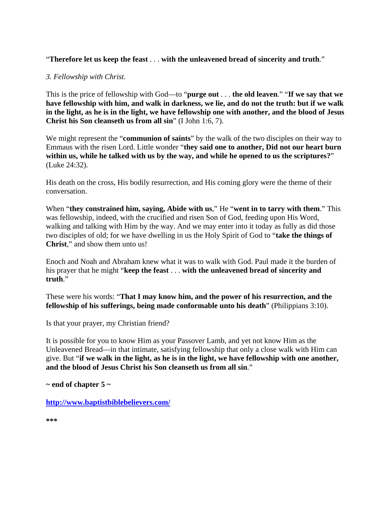"**Therefore let us keep the feast** . . . **with the unleavened bread of sincerity and truth**."

### *3. Fellowship with Christ.*

This is the price of fellowship with God—to "**purge out** . . . **the old leaven**." "**If we say that we have fellowship with him, and walk in darkness, we lie, and do not the truth: but if we walk in the light, as he is in the light, we have fellowship one with another, and the blood of Jesus Christ his Son cleanseth us from all sin**" (I John 1:6, 7).

We might represent the "**communion of saints**" by the walk of the two disciples on their way to Emmaus with the risen Lord. Little wonder "**they said one to another, Did not our heart burn within us, while he talked with us by the way, and while he opened to us the scriptures?**" (Luke 24:32).

His death on the cross, His bodily resurrection, and His coming glory were the theme of their conversation.

When "**they constrained him, saying, Abide with us**," He "**went in to tarry with them**." This was fellowship, indeed, with the crucified and risen Son of God, feeding upon His Word, walking and talking with Him by the way. And we may enter into it today as fully as did those two disciples of old; for we have dwelling in us the Holy Spirit of God to "**take the things of Christ**," and show them unto us!

Enoch and Noah and Abraham knew what it was to walk with God. Paul made it the burden of his prayer that he might "**keep the feast** . . . **with the unleavened bread of sincerity and truth**."

These were his words: "**That I may know him, and the power of his resurrection, and the fellowship of his sufferings, being made conformable unto his death**" (Philippians 3:10).

Is that your prayer, my Christian friend?

It is possible for you to know Him as your Passover Lamb, and yet not know Him as the Unleavened Bread—in that intimate, satisfying fellowship that only a close walk with Him can give. But "**if we walk in the light, as he is in the light, we have fellowship with one another, and the blood of Jesus Christ his Son cleanseth us from all sin**."

**~ end of chapter 5 ~**

**<http://www.baptistbiblebelievers.com/>**

**\*\*\***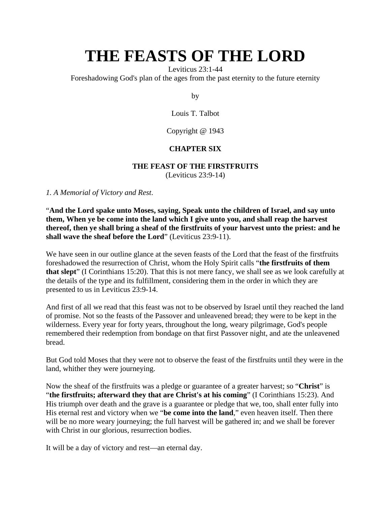Leviticus 23:1-44

Foreshadowing God's plan of the ages from the past eternity to the future eternity

by

Louis T. Talbot

Copyright @ 1943

## **CHAPTER SIX**

#### **THE FEAST OF THE FIRSTFRUITS**

(Leviticus 23:9-14)

*1. A Memorial of Victory and Rest*.

"**And the Lord spake unto Moses, saying, Speak unto the children of Israel, and say unto them, When ye be come into the land which I give unto you, and shall reap the harvest thereof, then ye shall bring a sheaf of the firstfruits of your harvest unto the priest: and he shall wave the sheaf before the Lord**" (Leviticus 23:9-11).

We have seen in our outline glance at the seven feasts of the Lord that the feast of the first fruits foreshadowed the resurrection of Christ, whom the Holy Spirit calls "**the firstfruits of them that slept**" (I Corinthians 15:20). That this is not mere fancy, we shall see as we look carefully at the details of the type and its fulfillment, considering them in the order in which they are presented to us in Leviticus 23:9-14.

And first of all we read that this feast was not to be observed by Israel until they reached the land of promise. Not so the feasts of the Passover and unleavened bread; they were to be kept in the wilderness. Every year for forty years, throughout the long, weary pilgrimage, God's people remembered their redemption from bondage on that first Passover night, and ate the unleavened bread.

But God told Moses that they were not to observe the feast of the firstfruits until they were in the land, whither they were journeying.

Now the sheaf of the firstfruits was a pledge or guarantee of a greater harvest; so "**Christ**" is "**the firstfruits; afterward they that are Christ's at his coming**" (I Corinthians 15:23). And His triumph over death and the grave is a guarantee or pledge that we, too, shall enter fully into His eternal rest and victory when we "**be come into the land**," even heaven itself. Then there will be no more weary journeying; the full harvest will be gathered in; and we shall be forever with Christ in our glorious, resurrection bodies.

It will be a day of victory and rest—an eternal day.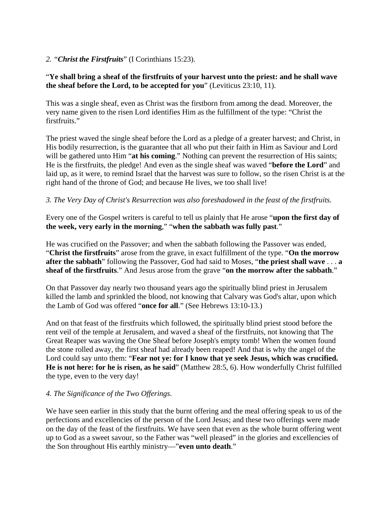#### *2. "Christ the Firstfruits*" (I Corinthians 15:23).

#### "**Ye shall bring a sheaf of the firstfruits of your harvest unto the priest: and he shall wave the sheaf before the Lord, to be accepted for you**" (Leviticus 23:10, 11).

This was a single sheaf, even as Christ was the firstborn from among the dead. Moreover, the very name given to the risen Lord identifies Him as the fulfillment of the type: "Christ the firstfruits."

The priest waved the single sheaf before the Lord as a pledge of a greater harvest; and Christ, in His bodily resurrection, is the guarantee that all who put their faith in Him as Saviour and Lord will be gathered unto Him "**at his coming**." Nothing can prevent the resurrection of His saints; He is the firstfruits, the pledge! And even as the single sheaf was waved "**before the Lord**" and laid up, as it were, to remind Israel that the harvest was sure to follow, so the risen Christ is at the right hand of the throne of God; and because He lives, we too shall live!

#### *3. The Very Day of Christ's Resurrection was also foreshadowed in the feast of the firstfruits.*

Every one of the Gospel writers is careful to tell us plainly that He arose "**upon the first day of the week, very early in the morning**," "**when the sabbath was fully past**."

He was crucified on the Passover; and when the sabbath following the Passover was ended, "**Christ the firstfruits**" arose from the grave, in exact fulfillment of the type. "**On the morrow after the sabbath**" following the Passover, God had said to Moses, "**the priest shall wave** . . . **a sheaf of the firstfruits**." And Jesus arose from the grave "**on the morrow after the sabbath**."

On that Passover day nearly two thousand years ago the spiritually blind priest in Jerusalem killed the lamb and sprinkled the blood, not knowing that Calvary was God's altar, upon which the Lamb of God was offered "**once for all**." (See Hebrews 13:10-13.)

And on that feast of the firstfruits which followed, the spiritually blind priest stood before the rent veil of the temple at Jerusalem, and waved a sheaf of the firstfruits, not knowing that The Great Reaper was waving the One Sheaf before Joseph's empty tomb! When the women found the stone rolled away, the first sheaf had already been reaped! And that is why the angel of the Lord could say unto them: "**Fear not ye: for I know that ye seek Jesus, which was crucified. He is not here: for he is risen, as he said**" (Matthew 28:5, 6). How wonderfully Christ fulfilled the type, even to the very day!

#### *4. The Significance of the Two Offerings*.

We have seen earlier in this study that the burnt offering and the meal offering speak to us of the perfections and excellencies of the person of the Lord Jesus; and these two offerings were made on the day of the feast of the firstfruits. We have seen that even as the whole burnt offering went up to God as a sweet savour, so the Father was "well pleased" in the glories and excellencies of the Son throughout His earthly ministry—"**even unto death**."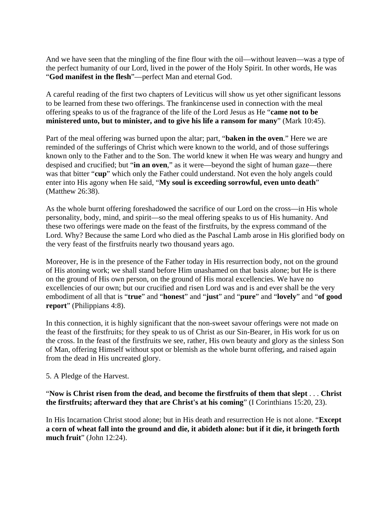And we have seen that the mingling of the fine flour with the oil—without leaven—was a type of the perfect humanity of our Lord, lived in the power of the Holy Spirit. In other words, He was "**God manifest in the flesh**"—perfect Man and eternal God.

A careful reading of the first two chapters of Leviticus will show us yet other significant lessons to be learned from these two offerings. The frankincense used in connection with the meal offering speaks to us of the fragrance of the life of the Lord Jesus as He "**came not to be ministered unto, but to minister, and to give his life a ransom for many**" (Mark 10:45).

Part of the meal offering was burned upon the altar; part, "**baken in the oven**." Here we are reminded of the sufferings of Christ which were known to the world, and of those sufferings known only to the Father and to the Son. The world knew it when He was weary and hungry and despised and crucified; but "**in an oven**," as it were—beyond the sight of human gaze—there was that bitter "**cup**" which only the Father could understand. Not even the holy angels could enter into His agony when He said, "**My soul is exceeding sorrowful, even unto death**" (Matthew 26:38).

As the whole burnt offering foreshadowed the sacrifice of our Lord on the cross—in His whole personality, body, mind, and spirit—so the meal offering speaks to us of His humanity. And these two offerings were made on the feast of the firstfruits, by the express command of the Lord. Why? Because the same Lord who died as the Paschal Lamb arose in His glorified body on the very feast of the firstfruits nearly two thousand years ago.

Moreover, He is in the presence of the Father today in His resurrection body, not on the ground of His atoning work; we shall stand before Him unashamed on that basis alone; but He is there on the ground of His own person, on the ground of His moral excellencies. We have no excellencies of our own; but our crucified and risen Lord was and is and ever shall be the very embodiment of all that is "**true**" and "**honest**" and "**just**" and "**pure**" and "**lovely**" and "**of good report**" (Philippians 4:8).

In this connection, it is highly significant that the non-sweet savour offerings were not made on the feast of the firstfruits; for they speak to us of Christ as our Sin-Bearer, in His work for us on the cross. In the feast of the firstfruits we see, rather, His own beauty and glory as the sinless Son of Man, offering Himself without spot or blemish as the whole burnt offering, and raised again from the dead in His uncreated glory.

5. A Pledge of the Harvest.

"**Now is Christ risen from the dead, and become the firstfruits of them that slept** . . . **Christ the firstfruits; afterward they that are Christ's at his coming**" (I Corinthians 15:20, 23).

In His Incarnation Christ stood alone; but in His death and resurrection He is not alone. "**Except a corn of wheat fall into the ground and die, it abideth alone: but if it die, it bringeth forth much fruit**" (John 12:24).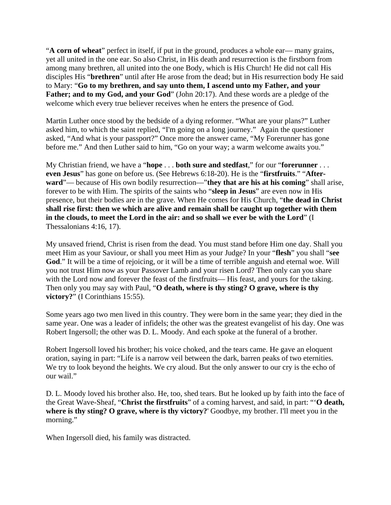"**A corn of wheat**" perfect in itself, if put in the ground, produces a whole ear— many grains, yet all united in the one ear. So also Christ, in His death and resurrection is the firstborn from among many brethren, all united into the one Body, which is His Church! He did not call His disciples His "**brethren**" until after He arose from the dead; but in His resurrection body He said to Mary: "**Go to my brethren, and say unto them, I ascend unto my Father, and your**  Father; and to my God, and your God" (John 20:17). And these words are a pledge of the welcome which every true believer receives when he enters the presence of God.

Martin Luther once stood by the bedside of a dying reformer. "What are your plans?" Luther asked him, to which the saint replied, "I'm going on a long journey." Again the questioner asked, "And what is your passport?" Once more the answer came, "My Forerunner has gone before me." And then Luther said to him, "Go on your way; a warm welcome awaits you."

My Christian friend, we have a "**hope** . . . **both sure and stedfast**," for our "**forerunner** . . . **even Jesus**" has gone on before us. (See Hebrews 6:18-20). He is the "**firstfruits**." "**Afterward**"— because of His own bodily resurrection—"**they that are his at his coming**" shall arise, forever to be with Him. The spirits of the saints who "**sleep in Jesus**" are even now in His presence, but their bodies are in the grave. When He comes for His Church, "**the dead in Christ shall rise first: then we which are alive and remain shall be caught up together with them in the clouds, to meet the Lord in the air: and so shall we ever be with the Lord**" (I Thessalonians 4:16, 17).

My unsaved friend, Christ is risen from the dead. You must stand before Him one day. Shall you meet Him as your Saviour, or shall you meet Him as your Judge? In your "**flesh**" you shall "**see God**." It will be a time of rejoicing, or it will be a time of terrible anguish and eternal woe. Will you not trust Him now as your Passover Lamb and your risen Lord? Then only can you share with the Lord now and forever the feast of the firstfruits— His feast, and yours for the taking. Then only you may say with Paul, "**O death, where is thy sting? O grave, where is thy**  victory?" (I Corinthians 15:55).

Some years ago two men lived in this country. They were born in the same year; they died in the same year. One was a leader of infidels; the other was the greatest evangelist of his day. One was Robert Ingersoll; the other was D. L. Moody. And each spoke at the funeral of a brother.

Robert Ingersoll loved his brother; his voice choked, and the tears came. He gave an eloquent oration, saying in part: "Life is a narrow veil between the dark, barren peaks of two eternities. We try to look beyond the heights. We cry aloud. But the only answer to our cry is the echo of our wail."

D. L. Moody loved his brother also. He, too, shed tears. But he looked up by faith into the face of the Great Wave-Sheaf, "**Christ the firstfruits**" of a coming harvest, and said, in part: "'**O death, where is thy sting? O grave, where is thy victory?**' Goodbye, my brother. I'll meet you in the morning."

When Ingersoll died, his family was distracted.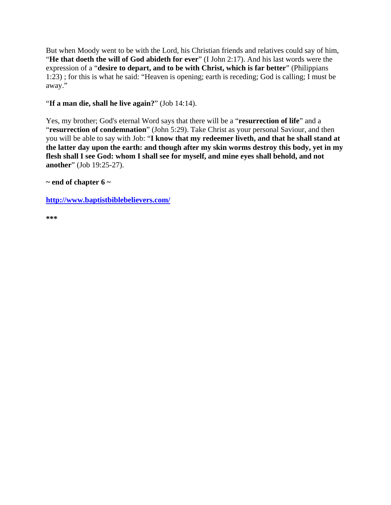But when Moody went to be with the Lord, his Christian friends and relatives could say of him, "**He that doeth the will of God abideth for ever**" (I John 2:17). And his last words were the expression of a "**desire to depart, and to be with Christ, which is far better**" (Philippians 1:23) ; for this is what he said: "Heaven is opening; earth is receding; God is calling; I must be away."

#### "**If a man die, shall he live again?**" (Job 14:14).

Yes, my brother; God's eternal Word says that there will be a "**resurrection of life**" and a "**resurrection of condemnation**" (John 5:29). Take Christ as your personal Saviour, and then you will be able to say with Job: "**I know that my redeemer liveth, and that he shall stand at the latter day upon the earth: and though after my skin worms destroy this body, yet in my flesh shall I see God: whom I shall see for myself, and mine eyes shall behold, and not another**" (Job 19:25-27).

**~ end of chapter 6 ~**

**<http://www.baptistbiblebelievers.com/>**

**\*\*\***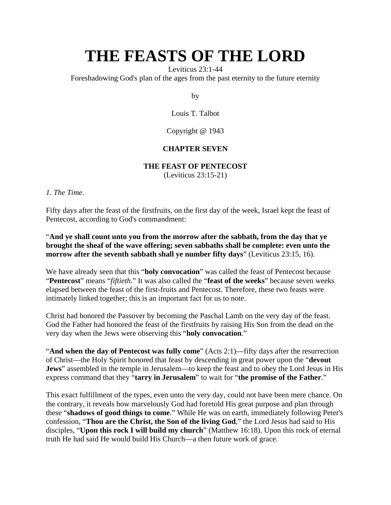Leviticus 23:1-44

Foreshadowing God's plan of the ages from the past eternity to the future eternity

by

Louis T. Talbot

Copyright @ 1943

#### **CHAPTER SEVEN**

#### **THE FEAST OF PENTECOST**

(Leviticus 23:15-21)

*1. The Time*.

Fifty days after the feast of the firstfruits, on the first day of the week, Israel kept the feast of Pentecost, according to God's commandment:

"**And ye shall count unto you from the morrow after the sabbath, from the day that ye brought the sheaf of the wave offering; seven sabbaths shall be complete: even unto the morrow after the seventh sabbath shall ye number fifty days**" (Leviticus 23:15, 16).

We have already seen that this "**holy convocation**" was called the feast of Pentecost because "**Pentecost**" means "*fiftieth*." It was also called the "**feast of the weeks**" because seven weeks elapsed between the feast of the first-fruits and Pentecost. Therefore, these two feasts were intimately linked together; this is an important fact for us to note.

Christ had honored the Passover by becoming the Paschal Lamb on the very day of the feast. God the Father had honored the feast of the firstfruits by raising His Son from the dead on the very day when the Jews were observing this "**holy convocation**."

"**And when the day of Pentecost was fully come**" (Acts 2:1)—fifty days after the resurrection of Christ—the Holy Spirit honored that feast by descending in great power upon the "**devout Jews**" assembled in the temple in Jerusalem—to keep the feast and to obey the Lord Jesus in His express command that they "**tarry in Jerusalem**" to wait for "**the promise of the Father**."

This exact fulfillment of the types, even unto the very day, could not have been mere chance. On the contrary, it reveals how marvelously God had foretold His great purpose and plan through these "**shadows of good things to come**." While He was on earth, immediately following Peter's confession, "**Thou are the Christ, the Son of the living God**," the Lord Jesus had said to His disciples, "**Upon this rock I will build my church**" (Matthew 16:18). Upon this rock of eternal truth He had said He would build His Church—a then future work of grace.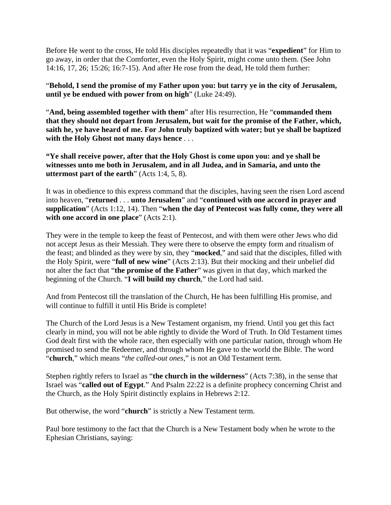Before He went to the cross, He told His disciples repeatedly that it was "**expedient**" for Him to go away, in order that the Comforter, even the Holy Spirit, might come unto them. (See John 14:16, 17, 26; 15:26; 16:7-15). And after He rose from the dead, He told them further:

"**Behold, I send the promise of my Father upon you: but tarry ye in the city of Jerusalem, until ye be endued with power from on high**" (Luke 24:49).

"**And, being assembled together with them**" after His resurrection, He "**commanded them that they should not depart from Jerusalem, but wait for the promise of the Father, which, saith he, ye have heard of me. For John truly baptized with water; but ye shall be baptized with the Holy Ghost not many days hence** . . .

**"Ye shall receive power, after that the Holy Ghost is come upon you: and ye shall be witnesses unto me both in Jerusalem, and in all Judea, and in Samaria, and unto the uttermost part of the earth**" (Acts 1:4, 5, 8).

It was in obedience to this express command that the disciples, having seen the risen Lord ascend into heaven, "**returned** . . . **unto Jerusalem**" and "**continued with one accord in prayer and supplication**" (Acts 1:12, 14). Then "**when the day of Pentecost was fully come, they were all with one accord in one place**" (Acts 2:1).

They were in the temple to keep the feast of Pentecost, and with them were other Jews who did not accept Jesus as their Messiah. They were there to observe the empty form and ritualism of the feast; and blinded as they were by sin, they "**mocked**," and said that the disciples, filled with the Holy Spirit, were "**full of new wine**" (Acts 2:13). But their mocking and their unbelief did not alter the fact that "**the promise of the Father**" was given in that day, which marked the beginning of the Church. "**I will build my church**," the Lord had said.

And from Pentecost till the translation of the Church, He has been fulfilling His promise, and will continue to fulfill it until His Bride is complete!

The Church of the Lord Jesus is a New Testament organism, my friend. Until you get this fact clearly in mind, you will not be able rightly to divide the Word of Truth. In Old Testament times God dealt first with the whole race, then especially with one particular nation, through whom He promised to send the Redeemer, and through whom He gave to the world the Bible. The word "**church**," which means "*the called-out ones*," is not an Old Testament term.

Stephen rightly refers to Israel as "**the church in the wilderness**" (Acts 7:38), in the sense that Israel was "**called out of Egypt**." And Psalm 22:22 is a definite prophecy concerning Christ and the Church, as the Holy Spirit distinctly explains in Hebrews 2:12.

But otherwise, the word "**church**" is strictly a New Testament term.

Paul bore testimony to the fact that the Church is a New Testament body when he wrote to the Ephesian Christians, saying: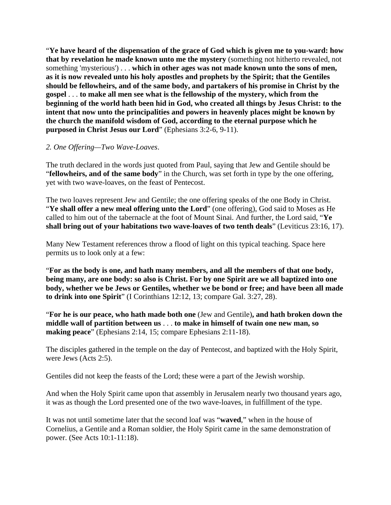"**Ye have heard of the dispensation of the grace of God which is given me to you-ward: how that by revelation he made known unto me the mystery** (something not hitherto revealed, not something 'mysterious') . . . **which in other ages was not made known unto the sons of men, as it is now revealed unto his holy apostles and prophets by the Spirit; that the Gentiles should be fellowheirs, and of the same body, and partakers of his promise in Christ by the gospel** . . . **to make all men see what is the fellowship of the mystery, which from the beginning of the world hath been hid in God, who created all things by Jesus Christ: to the intent that now unto the principalities and powers in heavenly places might be known by the church the manifold wisdom of God, according to the eternal purpose which he purposed in Christ Jesus our Lord**" (Ephesians 3:2-6, 9-11).

#### *2. One Offering—Two Wave-Loaves*.

The truth declared in the words just quoted from Paul, saying that Jew and Gentile should be "**fellowheirs, and of the same body**" in the Church, was set forth in type by the one offering, yet with two wave-loaves, on the feast of Pentecost.

The two loaves represent Jew and Gentile; the one offering speaks of the one Body in Christ. "**Ye shall offer a new meal offering unto the Lord**" (one offering), God said to Moses as He called to him out of the tabernacle at the foot of Mount Sinai. And further, the Lord said, "**Ye shall bring out of your habitations two wave-loaves of two tenth deals**" (Leviticus 23:16, 17).

Many New Testament references throw a flood of light on this typical teaching. Space here permits us to look only at a few:

"**For as the body is one, and hath many members, and all the members of that one body, being many, are one body: so also is Christ. For by one Spirit are we all baptized into one body, whether we be Jews or Gentiles, whether we be bond or free; and have been all made to drink into one Spirit**" (I Corinthians 12:12, 13; compare Gal. 3:27, 28).

"**For he is our peace, who hath made both one** (Jew and Gentile)**, and hath broken down the middle wall of partition between us** . . . **to make in himself of twain one new man, so making peace**" (Ephesians 2:14, 15; compare Ephesians 2:11-18).

The disciples gathered in the temple on the day of Pentecost, and baptized with the Holy Spirit, were Jews (Acts 2:5).

Gentiles did not keep the feasts of the Lord; these were a part of the Jewish worship.

And when the Holy Spirit came upon that assembly in Jerusalem nearly two thousand years ago, it was as though the Lord presented one of the two wave-loaves, in fulfillment of the type.

It was not until sometime later that the second loaf was "**waved**," when in the house of Cornelius, a Gentile and a Roman soldier, the Holy Spirit came in the same demonstration of power. (See Acts 10:1-11:18).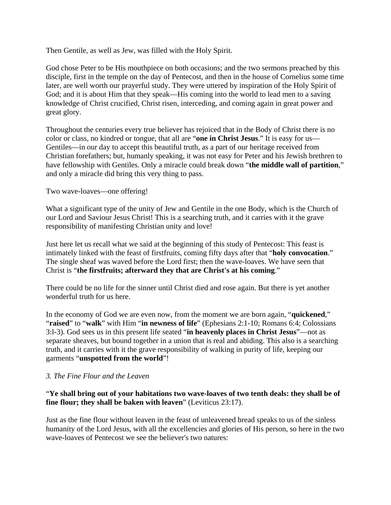Then Gentile, as well as Jew, was filled with the Holy Spirit.

God chose Peter to be His mouthpiece on both occasions; and the two sermons preached by this disciple, first in the temple on the day of Pentecost, and then in the house of Cornelius some time later, are well worth our prayerful study. They were uttered by inspiration of the Holy Spirit of God; and it is about Him that they speak—His coming into the world to lead men to a saving knowledge of Christ crucified, Christ risen, interceding, and coming again in great power and great glory.

Throughout the centuries every true believer has rejoiced that in the Body of Christ there is no color or class, no kindred or tongue, that all are "**one in Christ Jesus**." It is easy for us— Gentiles—in our day to accept this beautiful truth, as a part of our heritage received from Christian forefathers; but, humanly speaking, it was not easy for Peter and his Jewish brethren to have fellowship with Gentiles. Only a miracle could break down "**the middle wall of partition**," and only a miracle did bring this very thing to pass.

#### Two wave-loaves—one offering!

What a significant type of the unity of Jew and Gentile in the one Body, which is the Church of our Lord and Saviour Jesus Christ! This is a searching truth, and it carries with it the grave responsibility of manifesting Christian unity and love!

Just here let us recall what we said at the beginning of this study of Pentecost: This feast is intimately linked with the feast of firstfruits, coming fifty days after that "**holy convocation**." The single sheaf was waved before the Lord first; then the wave-loaves. We have seen that Christ is "**the firstfruits; afterward they that are Christ's at his coming**."

There could be no life for the sinner until Christ died and rose again. But there is yet another wonderful truth for us here.

In the economy of God we are even now, from the moment we are born again, "**quickened**," "**raised**" to "**walk**" with Him "**in newness of life**" (Ephesians 2:1-10; Romans 6:4; Colossians 3:l-3). God sees us in this present life seated "**in heavenly places in Christ Jesus**"—not as separate sheaves, but bound together in a union that is real and abiding. This also is a searching truth, and it carries with it the grave responsibility of walking in purity of life, keeping our garments "**unspotted from the world**"!

#### *3. The Fine Flour and the Leaven*

#### "**Ye shall bring out of your habitations two wave-loaves of two tenth deals: they shall be of fine flour; they shall be baken with leaven**" (Leviticus 23:17).

Just as the fine flour without leaven in the feast of unleavened bread speaks to us of the sinless humanity of the Lord Jesus, with all the excellencies and glories of His person, so here in the two wave-loaves of Pentecost we see the believer's two natures: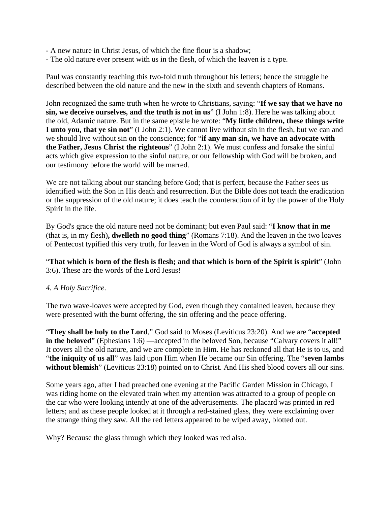- A new nature in Christ Jesus, of which the fine flour is a shadow;
- The old nature ever present with us in the flesh, of which the leaven is a type.

Paul was constantly teaching this two-fold truth throughout his letters; hence the struggle he described between the old nature and the new in the sixth and seventh chapters of Romans.

John recognized the same truth when he wrote to Christians, saying: "**If we say that we have no sin, we deceive ourselves, and the truth is not in us**" (I John 1:8). Here he was talking about the old, Adamic nature. But in the same epistle he wrote: "**My little children, these things write I unto you, that ye sin not**" (I John 2:1). We cannot live without sin in the flesh, but we can and we should live without sin on the conscience; for "**if any man sin, we have an advocate with the Father, Jesus Christ the righteous**" (I John 2:1). We must confess and forsake the sinful acts which give expression to the sinful nature, or our fellowship with God will be broken, and our testimony before the world will be marred.

We are not talking about our standing before God; that is perfect, because the Father sees us identified with the Son in His death and resurrection. But the Bible does not teach the eradication or the suppression of the old nature; it does teach the counteraction of it by the power of the Holy Spirit in the life.

By God's grace the old nature need not be dominant; but even Paul said: "**I know that in me** (that is, in my flesh)**, dwelleth no good thing**" (Romans 7:18). And the leaven in the two loaves of Pentecost typified this very truth, for leaven in the Word of God is always a symbol of sin.

"**That which is born of the flesh is flesh; and that which is born of the Spirit is spirit**" (John 3:6). These are the words of the Lord Jesus!

#### *4. A Holy Sacrifice*.

The two wave-loaves were accepted by God, even though they contained leaven, because they were presented with the burnt offering, the sin offering and the peace offering.

"**They shall be holy to the Lord**," God said to Moses (Leviticus 23:20). And we are "**accepted in the beloved**" (Ephesians 1:6) —accepted in the beloved Son, because "Calvary covers it all!" It covers all the old nature, and we are complete in Him. He has reckoned all that He is to us, and "**the iniquity of us all**" was laid upon Him when He became our Sin offering. The "**seven lambs**  without blemish" (Leviticus 23:18) pointed on to Christ. And His shed blood covers all our sins.

Some years ago, after I had preached one evening at the Pacific Garden Mission in Chicago, I was riding home on the elevated train when my attention was attracted to a group of people on the car who were looking intently at one of the advertisements. The placard was printed in red letters; and as these people looked at it through a red-stained glass, they were exclaiming over the strange thing they saw. All the red letters appeared to be wiped away, blotted out.

Why? Because the glass through which they looked was red also.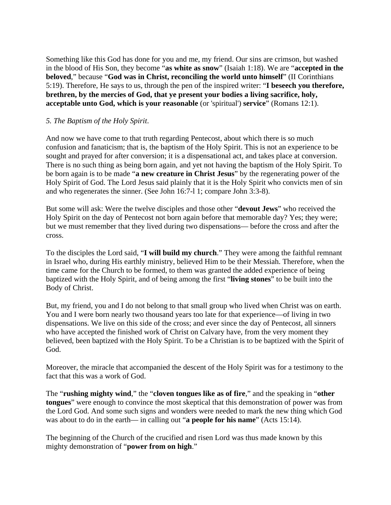Something like this God has done for you and me, my friend. Our sins are crimson, but washed in the blood of His Son, they become "**as white as snow**" (Isaiah 1:18). We are "**accepted in the beloved**," because "**God was in Christ, reconciling the world unto himself**" (II Corinthians 5:19). Therefore, He says to us, through the pen of the inspired writer: "**I beseech you therefore, brethren, by the mercies of God, that ye present your bodies a living sacrifice, holy, acceptable unto God, which is your reasonable** (or 'spiritual') **service**" (Romans 12:1).

#### *5. The Baptism of the Holy Spirit*.

And now we have come to that truth regarding Pentecost, about which there is so much confusion and fanaticism; that is, the baptism of the Holy Spirit. This is not an experience to be sought and prayed for after conversion; it is a dispensational act, and takes place at conversion. There is no such thing as being born again, and yet not having the baptism of the Holy Spirit. To be born again is to be made "**a new creature in Christ Jesus**" by the regenerating power of the Holy Spirit of God. The Lord Jesus said plainly that it is the Holy Spirit who convicts men of sin and who regenerates the sinner. (See John 16:7-l 1; compare John 3:3-8).

But some will ask: Were the twelve disciples and those other "**devout Jews**" who received the Holy Spirit on the day of Pentecost not born again before that memorable day? Yes; they were; but we must remember that they lived during two dispensations— before the cross and after the cross.

To the disciples the Lord said, "**I will build my church**." They were among the faithful remnant in Israel who, during His earthly ministry, believed Him to be their Messiah. Therefore, when the time came for the Church to be formed, to them was granted the added experience of being baptized with the Holy Spirit, and of being among the first "**living stones**" to be built into the Body of Christ.

But, my friend, you and I do not belong to that small group who lived when Christ was on earth. You and I were born nearly two thousand years too late for that experience—of living in two dispensations. We live on this side of the cross; and ever since the day of Pentecost, all sinners who have accepted the finished work of Christ on Calvary have, from the very moment they believed, been baptized with the Holy Spirit. To be a Christian is to be baptized with the Spirit of God.

Moreover, the miracle that accompanied the descent of the Holy Spirit was for a testimony to the fact that this was a work of God.

The "**rushing mighty wind**," the "**cloven tongues like as of fire**," and the speaking in "**other tongues**" were enough to convince the most skeptical that this demonstration of power was from the Lord God. And some such signs and wonders were needed to mark the new thing which God was about to do in the earth— in calling out "**a people for his name**" (Acts 15:14).

The beginning of the Church of the crucified and risen Lord was thus made known by this mighty demonstration of "**power from on high**."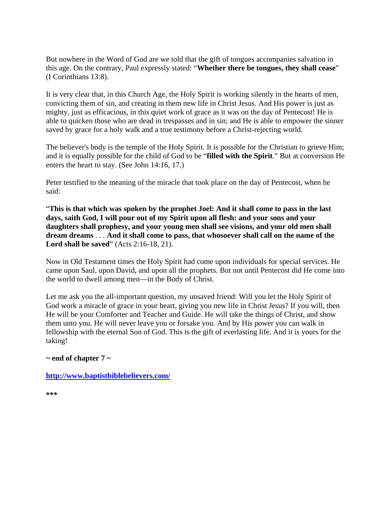But nowhere in the Word of God are we told that the gift of tongues accompanies salvation in this age. On the contrary, Paul expressly stated: "**Whether there be tongues, they shall cease**" (I Corinthians 13:8).

It is very clear that, in this Church Age, the Holy Spirit is working silently in the hearts of men, convicting them of sin, and creating in them new life in Christ Jesus. And His power is just as mighty, just as efficacious, in this quiet work of grace as it was on the day of Pentecost! He is able to quicken those who are dead in trespasses and in sin; and He is able to empower the sinner saved by grace for a holy walk and a true testimony before a Christ-rejecting world.

The believer's body is the temple of the Holy Spirit. It is possible for the Christian to grieve Him; and it is equally possible for the child of God to be "**filled with the Spirit**." But at conversion He enters the heart to stay. (See John 14:16, 17.)

Peter testified to the meaning of the miracle that took place on the day of Pentecost, when he said:

"**This is that which was spoken by the prophet Joel: And it shall come to pass in the last days, saith God, I will pour out of my Spirit upon all flesh: and your sons and your daughters shall prophesy, and your young men shall see visions, and your old men shall dream dreams** . . . **And it shall come to pass, that whosoever shall call on the name of the Lord shall be saved**" (Acts 2:16-18, 21).

Now in Old Testament times the Holy Spirit had come upon individuals for special services. He came upon Saul, upon David, and upon all the prophets. But not until Pentecost did He come into the world to dwell among men—in the Body of Christ.

Let me ask you the all-important question, my unsaved friend: Will you let the Holy Spirit of God work a miracle of grace in your heart, giving you new life in Christ Jesus? If you will, then He will be your Comforter and Teacher and Guide. He will take the things of Christ, and show them unto you. He will never leave you or forsake you. And by His power you can walk in fellowship with the eternal Son of God. This is the gift of everlasting life. And it is yours for the taking!

#### **~ end of chapter 7 ~**

#### **<http://www.baptistbiblebelievers.com/>**

**\*\*\***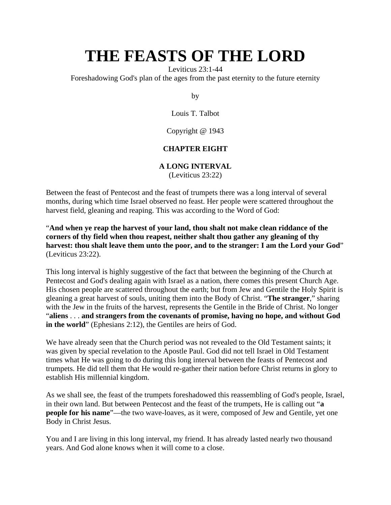Leviticus 23:1-44

Foreshadowing God's plan of the ages from the past eternity to the future eternity

by

Louis T. Talbot

Copyright @ 1943

## **CHAPTER EIGHT**

### **A LONG INTERVAL**

(Leviticus 23:22)

Between the feast of Pentecost and the feast of trumpets there was a long interval of several months, during which time Israel observed no feast. Her people were scattered throughout the harvest field, gleaning and reaping. This was according to the Word of God:

"**And when ye reap the harvest of your land, thou shalt not make clean riddance of the corners of thy field when thou reapest, neither shalt thou gather any gleaning of thy harvest: thou shalt leave them unto the poor, and to the stranger: I am the Lord your God**" (Leviticus 23:22).

This long interval is highly suggestive of the fact that between the beginning of the Church at Pentecost and God's dealing again with Israel as a nation, there comes this present Church Age. His chosen people are scattered throughout the earth; but from Jew and Gentile the Holy Spirit is gleaning a great harvest of souls, uniting them into the Body of Christ. "**The stranger**," sharing with the Jew in the fruits of the harvest, represents the Gentile in the Bride of Christ. No longer "**aliens** . . . **and strangers from the covenants of promise, having no hope, and without God in the world**" (Ephesians 2:12), the Gentiles are heirs of God.

We have already seen that the Church period was not revealed to the Old Testament saints; it was given by special revelation to the Apostle Paul. God did not tell Israel in Old Testament times what He was going to do during this long interval between the feasts of Pentecost and trumpets. He did tell them that He would re-gather their nation before Christ returns in glory to establish His millennial kingdom.

As we shall see, the feast of the trumpets foreshadowed this reassembling of God's people, Israel, in their own land. But between Pentecost and the feast of the trumpets, He is calling out "**a people for his name**"—the two wave-loaves, as it were, composed of Jew and Gentile, yet one Body in Christ Jesus.

You and I are living in this long interval, my friend. It has already lasted nearly two thousand years. And God alone knows when it will come to a close.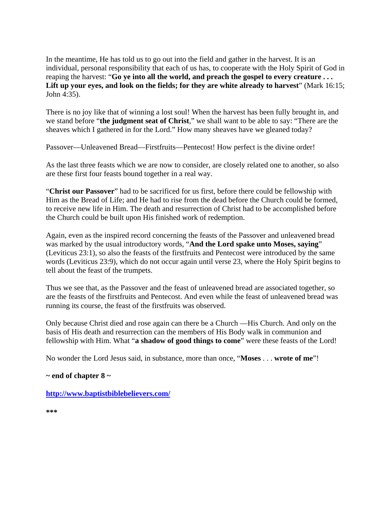In the meantime, He has told us to go out into the field and gather in the harvest. It is an individual, personal responsibility that each of us has, to cooperate with the Holy Spirit of God in reaping the harvest: "**Go ye into all the world, and preach the gospel to every creature . . .**  Lift up your eyes, and look on the fields; for they are white already to harvest" (Mark 16:15; John 4:35).

There is no joy like that of winning a lost soul! When the harvest has been fully brought in, and we stand before "**the judgment seat of Christ**," we shall want to be able to say: "There are the sheaves which I gathered in for the Lord." How many sheaves have we gleaned today?

Passover—Unleavened Bread—Firstfruits—Pentecost! How perfect is the divine order!

As the last three feasts which we are now to consider, are closely related one to another, so also are these first four feasts bound together in a real way.

"**Christ our Passover**" had to be sacrificed for us first, before there could be fellowship with Him as the Bread of Life; and He had to rise from the dead before the Church could be formed, to receive new life in Him. The death and resurrection of Christ had to be accomplished before the Church could be built upon His finished work of redemption.

Again, even as the inspired record concerning the feasts of the Passover and unleavened bread was marked by the usual introductory words, "**And the Lord spake unto Moses, saying**" (Leviticus 23:1), so also the feasts of the firstfruits and Pentecost were introduced by the same words (Leviticus 23:9), which do not occur again until verse 23, where the Holy Spirit begins to tell about the feast of the trumpets.

Thus we see that, as the Passover and the feast of unleavened bread are associated together, so are the feasts of the firstfruits and Pentecost. And even while the feast of unleavened bread was running its course, the feast of the firstfruits was observed.

Only because Christ died and rose again can there be a Church —His Church. And only on the basis of His death and resurrection can the members of His Body walk in communion and fellowship with Him. What "**a shadow of good things to come**" were these feasts of the Lord!

No wonder the Lord Jesus said, in substance, more than once, "**Moses** . . . **wrote of me**"!

#### **~ end of chapter 8 ~**

**<http://www.baptistbiblebelievers.com/>**

**\*\*\***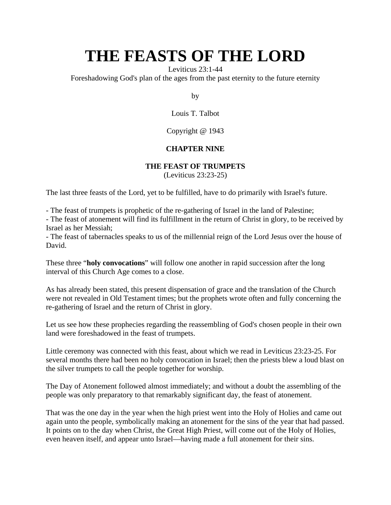Leviticus 23:1-44

Foreshadowing God's plan of the ages from the past eternity to the future eternity

by

Louis T. Talbot

Copyright @ 1943

### **CHAPTER NINE**

#### **THE FEAST OF TRUMPETS**

(Leviticus 23:23-25)

The last three feasts of the Lord, yet to be fulfilled, have to do primarily with Israel's future.

- The feast of trumpets is prophetic of the re-gathering of Israel in the land of Palestine;

- The feast of atonement will find its fulfillment in the return of Christ in glory, to be received by Israel as her Messiah;

- The feast of tabernacles speaks to us of the millennial reign of the Lord Jesus over the house of David.

These three "**holy convocations**" will follow one another in rapid succession after the long interval of this Church Age comes to a close.

As has already been stated, this present dispensation of grace and the translation of the Church were not revealed in Old Testament times; but the prophets wrote often and fully concerning the re-gathering of Israel and the return of Christ in glory.

Let us see how these prophecies regarding the reassembling of God's chosen people in their own land were foreshadowed in the feast of trumpets.

Little ceremony was connected with this feast, about which we read in Leviticus 23:23-25. For several months there had been no holy convocation in Israel; then the priests blew a loud blast on the silver trumpets to call the people together for worship.

The Day of Atonement followed almost immediately; and without a doubt the assembling of the people was only preparatory to that remarkably significant day, the feast of atonement.

That was the one day in the year when the high priest went into the Holy of Holies and came out again unto the people, symbolically making an atonement for the sins of the year that had passed. It points on to the day when Christ, the Great High Priest, will come out of the Holy of Holies, even heaven itself, and appear unto Israel—having made a full atonement for their sins.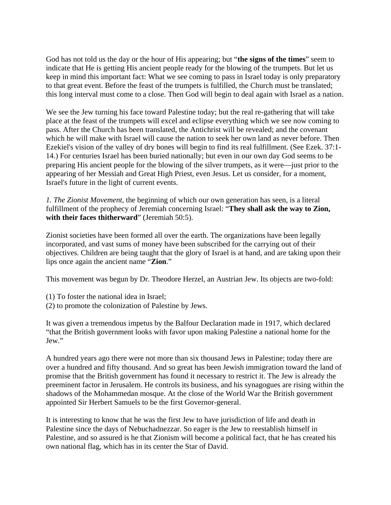God has not told us the day or the hour of His appearing; but "**the signs of the times**" seem to indicate that He is getting His ancient people ready for the blowing of the trumpets. But let us keep in mind this important fact: What we see coming to pass in Israel today is only preparatory to that great event. Before the feast of the trumpets is fulfilled, the Church must be translated; this long interval must come to a close. Then God will begin to deal again with Israel as a nation.

We see the Jew turning his face toward Palestine today; but the real re-gathering that will take place at the feast of the trumpets will excel and eclipse everything which we see now coming to pass. After the Church has been translated, the Antichrist will be revealed; and the covenant which he will make with Israel will cause the nation to seek her own land as never before. Then Ezekiel's vision of the valley of dry bones will begin to find its real fulfillment. (See Ezek. 37:1- 14.) For centuries Israel has been buried nationally; but even in our own day God seems to be preparing His ancient people for the blowing of the silver trumpets, as it were—just prior to the appearing of her Messiah and Great High Priest, even Jesus. Let us consider, for a moment, Israel's future in the light of current events.

*1. The Zionist Movement*, the beginning of which our own generation has seen, is a literal fulfillment of the prophecy of Jeremiah concerning Israel: "**They shall ask the way to Zion, with their faces thitherward**" (Jeremiah 50:5).

Zionist societies have been formed all over the earth. The organizations have been legally incorporated, and vast sums of money have been subscribed for the carrying out of their objectives. Children are being taught that the glory of Israel is at hand, and are taking upon their lips once again the ancient name "**Zion**."

This movement was begun by Dr. Theodore Herzel, an Austrian Jew. Its objects are two-fold:

- (1) To foster the national idea in Israel;
- (2) to promote the colonization of Palestine by Jews.

It was given a tremendous impetus by the Balfour Declaration made in 1917, which declared "that the British government looks with favor upon making Palestine a national home for the Jew."

A hundred years ago there were not more than six thousand Jews in Palestine; today there are over a hundred and fifty thousand. And so great has been Jewish immigration toward the land of promise that the British government has found it necessary to restrict it. The Jew is already the preeminent factor in Jerusalem. He controls its business, and his synagogues are rising within the shadows of the Mohammedan mosque. At the close of the World War the British government appointed Sir Herbert Samuels to be the first Governor-general.

It is interesting to know that he was the first Jew to have jurisdiction of life and death in Palestine since the days of Nebuchadnezzar. So eager is the Jew to reestablish himself in Palestine, and so assured is he that Zionism will become a political fact, that he has created his own national flag, which has in its center the Star of David.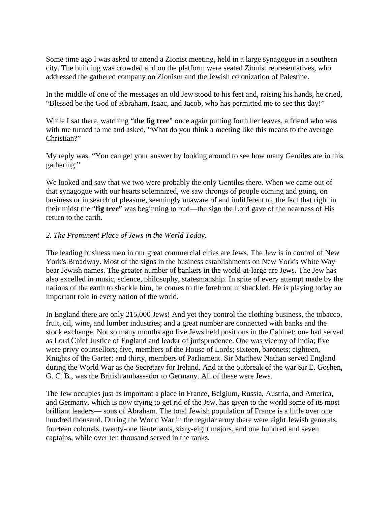Some time ago I was asked to attend a Zionist meeting, held in a large synagogue in a southern city. The building was crowded and on the platform were seated Zionist representatives, who addressed the gathered company on Zionism and the Jewish colonization of Palestine.

In the middle of one of the messages an old Jew stood to his feet and, raising his hands, he cried, "Blessed be the God of Abraham, Isaac, and Jacob, who has permitted me to see this day!"

While I sat there, watching "**the fig tree**" once again putting forth her leaves, a friend who was with me turned to me and asked, "What do you think a meeting like this means to the average Christian?"

My reply was, "You can get your answer by looking around to see how many Gentiles are in this gathering."

We looked and saw that we two were probably the only Gentiles there. When we came out of that synagogue with our hearts solemnized, we saw throngs of people coming and going, on business or in search of pleasure, seemingly unaware of and indifferent to, the fact that right in their midst the "**fig tree**" was beginning to bud—the sign the Lord gave of the nearness of His return to the earth.

#### *2. The Prominent Place of Jews in the World Today*.

The leading business men in our great commercial cities are Jews. The Jew is in control of New York's Broadway. Most of the signs in the business establishments on New York's White Way bear Jewish names. The greater number of bankers in the world-at-large are Jews. The Jew has also excelled in music, science, philosophy, statesmanship. In spite of every attempt made by the nations of the earth to shackle him, he comes to the forefront unshackled. He is playing today an important role in every nation of the world.

In England there are only 215,000 Jews! And yet they control the clothing business, the tobacco, fruit, oil, wine, and lumber industries; and a great number are connected with banks and the stock exchange. Not so many months ago five Jews held positions in the Cabinet; one had served as Lord Chief Justice of England and leader of jurisprudence. One was viceroy of India; five were privy counsellors; five, members of the House of Lords; sixteen, baronets; eighteen, Knights of the Garter; and thirty, members of Parliament. Sir Matthew Nathan served England during the World War as the Secretary for Ireland. And at the outbreak of the war Sir E. Goshen, G. C. B., was the British ambassador to Germany. All of these were Jews.

The Jew occupies just as important a place in France, Belgium, Russia, Austria, and America, and Germany, which is now trying to get rid of the Jew, has given to the world some of its most brilliant leaders— sons of Abraham. The total Jewish population of France is a little over one hundred thousand. During the World War in the regular army there were eight Jewish generals, fourteen colonels, twenty-one lieutenants, sixty-eight majors, and one hundred and seven captains, while over ten thousand served in the ranks.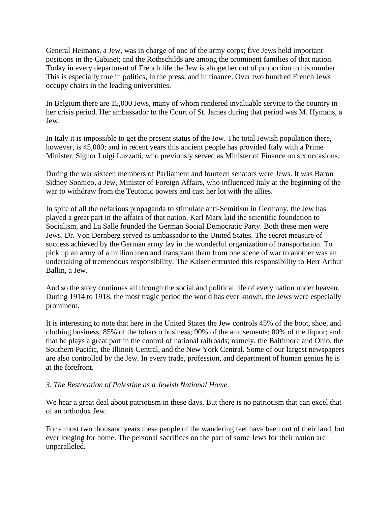General Heimans, a Jew, was in charge of one of the army corps; five Jews held important positions in the Cabinet; and the Rothschilds are among the prominent families of that nation. Today in every department of French life the Jew is altogether out of proportion to his number. This is especially true in politics, in the press, and in finance. Over two hundred French Jews occupy chairs in the leading universities.

In Belgium there are 15,000 Jews, many of whom rendered invaluable service to the country in her crisis period. Her ambassador to the Court of St. James during that period was M. Hymans, a Jew.

In Italy it is impossible to get the present status of the Jew. The total Jewish population there, however, is 45,000; and in recent years this ancient people has provided Italy with a Prime Minister, Signor Luigi Luzzatti, who previously served as Minister of Finance on six occasions.

During the war sixteen members of Parliament and fourteen senators were Jews. It was Baron Sidney Sonnieo, a Jew, Minister of Foreign Affairs, who influenced Italy at the beginning of the war to withdraw from the Teutonic powers and cast her lot with the allies.

In spite of all the nefarious propaganda to stimulate anti-Semitism in Germany, the Jew has played a great part in the affairs of that nation. Karl Marx laid the scientific foundation to Socialism, and La Salle founded the German Social Democratic Party. Both these men were Jews. Dr. Von Dernberg served as ambassador to the United States. The secret measure of success achieved by the German army lay in the wonderful organization of transportation. To pick up an army of a million men and transplant them from one scene of war to another was an undertaking of tremendous responsibility. The Kaiser entrusted this responsibility to Herr Arthur Ballin, a Jew.

And so the story continues all through the social and political life of every nation under heaven. During 1914 to 1918, the most tragic period the world has ever known, the Jews were especially prominent.

It is interesting to note that here in the United States the Jew controls 45% of the boot, shoe, and clothing business; 85% of the tobacco business; 90% of the amusements; 80% of the liquor; and that he plays a great part in the control of national railroads; namely, the Baltimore and Ohio, the Southern Pacific, the Illinois Central, and the New York Central. Some of our largest newspapers are also controlled by the Jew. In every trade, profession, and department of human genius he is at the forefront.

#### *3. The Restoration of Palestine as a Jewish National Home*.

We hear a great deal about patriotism in these days. But there is no patriotism that can excel that of an orthodox Jew.

For almost two thousand years these people of the wandering feet have been out of their land, but ever longing for home. The personal sacrifices on the part of some Jews for their nation are unparalleled.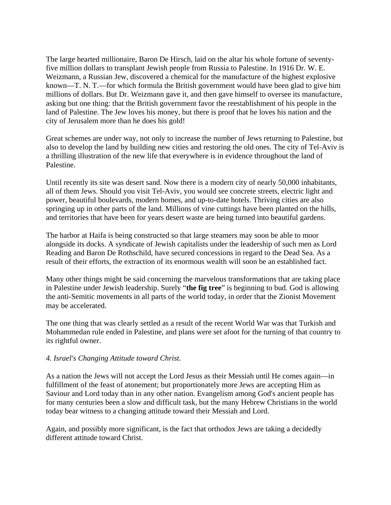The large hearted millionaire, Baron De Hirsch, laid on the altar his whole fortune of seventyfive million dollars to transplant Jewish people from Russia to Palestine. In 1916 Dr. W. E. Weizmann, a Russian Jew, discovered a chemical for the manufacture of the highest explosive known—T. N. T.—for which formula the British government would have been glad to give him millions of dollars. But Dr. Weizmann gave it, and then gave himself to oversee its manufacture, asking but one thing: that the British government favor the reestablishment of his people in the land of Palestine. The Jew loves his money, but there is proof that he loves his nation and the city of Jerusalem more than he does his gold!

Great schemes are under way, not only to increase the number of Jews returning to Palestine, but also to develop the land by building new cities and restoring the old ones. The city of Tel-Aviv is a thrilling illustration of the new life that everywhere is in evidence throughout the land of Palestine.

Until recently its site was desert sand. Now there is a modern city of nearly 50,000 inhabitants, all of them Jews. Should you visit Tel-Aviv, you would see concrete streets, electric light and power, beautiful boulevards, modern homes, and up-to-date hotels. Thriving cities are also springing up in other parts of the land. Millions of vine cuttings have been planted on the hills, and territories that have been for years desert waste are being turned into beautiful gardens.

The harbor at Haifa is being constructed so that large steamers may soon be able to moor alongside its docks. A syndicate of Jewish capitalists under the leadership of such men as Lord Reading and Baron De Rothschild, have secured concessions in regard to the Dead Sea. As a result of their efforts, the extraction of its enormous wealth will soon be an established fact.

Many other things might be said concerning the marvelous transformations that are taking place in Palestine under Jewish leadership. Surely "**the fig tree**" is beginning to bud. God is allowing the anti-Semitic movements in all parts of the world today, in order that the Zionist Movement may be accelerated.

The one thing that was clearly settled as a result of the recent World War was that Turkish and Mohammedan rule ended in Palestine, and plans were set afoot for the turning of that country to its rightful owner.

#### *4. Israel's Changing Attitude toward Christ*.

As a nation the Jews will not accept the Lord Jesus as their Messiah until He comes again—in fulfillment of the feast of atonement; but proportionately more Jews are accepting Him as Saviour and Lord today than in any other nation. Evangelism among God's ancient people has for many centuries been a slow and difficult task, but the many Hebrew Christians in the world today bear witness to a changing attitude toward their Messiah and Lord.

Again, and possibly more significant, is the fact that orthodox Jews are taking a decidedly different attitude toward Christ.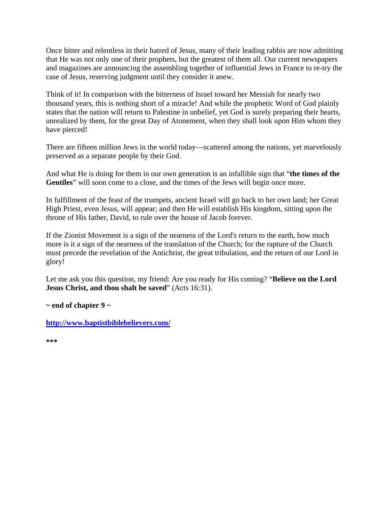Once bitter and relentless in their hatred of Jesus, many of their leading rabbis are now admitting that He was not only one of their prophets, but the greatest of them all. Our current newspapers and magazines are announcing the assembling together of influential Jews in France to re-try the case of Jesus, reserving judgment until they consider it anew.

Think of it! In comparison with the bitterness of Israel toward her Messiah for nearly two thousand years, this is nothing short of a miracle! And while the prophetic Word of God plainly states that the nation will return to Palestine in unbelief, yet God is surely preparing their hearts, unrealized by them, for the great Day of Atonement, when they shall look upon Him whom they have pierced!

There are fifteen million Jews in the world today—scattered among the nations, yet marvelously preserved as a separate people by their God.

And what He is doing for them in our own generation is an infallible sign that "**the times of the Gentiles**" will soon come to a close, and the times of the Jews will begin once more.

In fulfillment of the feast of the trumpets, ancient Israel will go back to her own land; her Great High Priest, even Jesus, will appear; and then He will establish His kingdom, sitting upon the throne of His father, David, to rule over the house of Jacob forever.

If the Zionist Movement is a sign of the nearness of the Lord's return to the earth, how much more is it a sign of the nearness of the translation of the Church; for the rapture of the Church must precede the revelation of the Antichrist, the great tribulation, and the return of our Lord in glory!

Let me ask you this question, my friend: Are you ready for His coming? "**Believe on the Lord Jesus Christ, and thou shalt be saved**" (Acts 16:31).

**~ end of chapter 9 ~**

**<http://www.baptistbiblebelievers.com/>**

**\*\*\***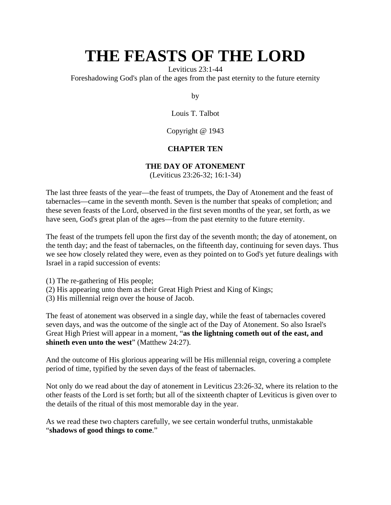Leviticus 23:1-44

Foreshadowing God's plan of the ages from the past eternity to the future eternity

by

Louis T. Talbot

Copyright @ 1943

## **CHAPTER TEN**

### **THE DAY OF ATONEMENT**

(Leviticus 23:26-32; 16:1-34)

The last three feasts of the year—the feast of trumpets, the Day of Atonement and the feast of tabernacles—came in the seventh month. Seven is the number that speaks of completion; and these seven feasts of the Lord, observed in the first seven months of the year, set forth, as we have seen, God's great plan of the ages—from the past eternity to the future eternity.

The feast of the trumpets fell upon the first day of the seventh month; the day of atonement, on the tenth day; and the feast of tabernacles, on the fifteenth day, continuing for seven days. Thus we see how closely related they were, even as they pointed on to God's yet future dealings with Israel in a rapid succession of events:

- (1) The re-gathering of His people;
- (2) His appearing unto them as their Great High Priest and King of Kings;
- (3) His millennial reign over the house of Jacob.

The feast of atonement was observed in a single day, while the feast of tabernacles covered seven days, and was the outcome of the single act of the Day of Atonement. So also Israel's Great High Priest will appear in a moment, "**as the lightning cometh out of the east, and shineth even unto the west**" (Matthew 24:27).

And the outcome of His glorious appearing will be His millennial reign, covering a complete period of time, typified by the seven days of the feast of tabernacles.

Not only do we read about the day of atonement in Leviticus 23:26-32, where its relation to the other feasts of the Lord is set forth; but all of the sixteenth chapter of Leviticus is given over to the details of the ritual of this most memorable day in the year.

As we read these two chapters carefully, we see certain wonderful truths, unmistakable "**shadows of good things to come**."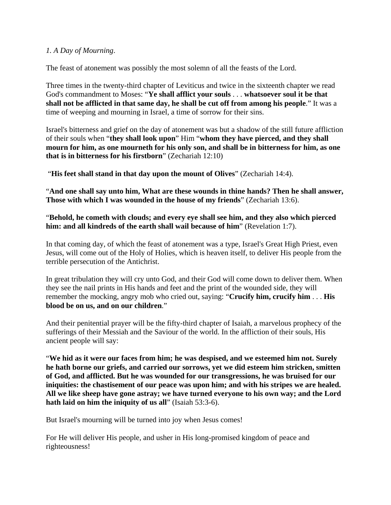### *1. A Day of Mourning*.

The feast of atonement was possibly the most solemn of all the feasts of the Lord.

Three times in the twenty-third chapter of Leviticus and twice in the sixteenth chapter we read God's commandment to Moses: "**Ye shall afflict your souls** . . . **whatsoever soul it be that shall not be afflicted in that same day, he shall be cut off from among his people**." It was a time of weeping and mourning in Israel, a time of sorrow for their sins.

Israel's bitterness and grief on the day of atonement was but a shadow of the still future affliction of their souls when "**they shall look upon**" Him "**whom they have pierced, and they shall mourn for him, as one mourneth for his only son, and shall be in bitterness for him, as one that is in bitterness for his firstborn**" (Zechariah 12:10)

"**His feet shall stand in that day upon the mount of Olives**" (Zechariah 14:4).

"**And one shall say unto him, What are these wounds in thine hands? Then he shall answer, Those with which I was wounded in the house of my friends**" (Zechariah 13:6).

"**Behold, he cometh with clouds; and every eye shall see him, and they also which pierced him: and all kindreds of the earth shall wail because of him**" (Revelation 1:7).

In that coming day, of which the feast of atonement was a type, Israel's Great High Priest, even Jesus, will come out of the Holy of Holies, which is heaven itself, to deliver His people from the terrible persecution of the Antichrist.

In great tribulation they will cry unto God, and their God will come down to deliver them. When they see the nail prints in His hands and feet and the print of the wounded side, they will remember the mocking, angry mob who cried out, saying: "**Crucify him, crucify him** . . . **His blood be on us, and on our children**."

And their penitential prayer will be the fifty-third chapter of Isaiah, a marvelous prophecy of the sufferings of their Messiah and the Saviour of the world. In the affliction of their souls, His ancient people will say:

"**We hid as it were our faces from him; he was despised, and we esteemed him not. Surely he hath borne our griefs, and carried our sorrows, yet we did esteem him stricken, smitten of God, and afflicted. But he was wounded for our transgressions, he was bruised for our iniquities: the chastisement of our peace was upon him; and with his stripes we are healed. All we like sheep have gone astray; we have turned everyone to his own way; and the Lord hath laid on him the iniquity of us all**" (Isaiah 53:3-6).

But Israel's mourning will be turned into joy when Jesus comes!

For He will deliver His people, and usher in His long-promised kingdom of peace and righteousness!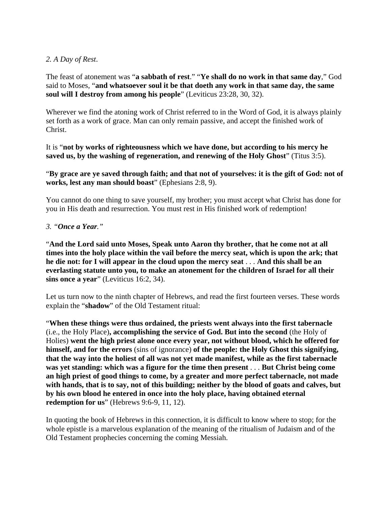#### *2. A Day of Rest*.

The feast of atonement was "**a sabbath of rest**." "**Ye shall do no work in that same day**," God said to Moses, "**and whatsoever soul it be that doeth any work in that same day, the same soul will I destroy from among his people**" (Leviticus 23:28, 30, 32).

Wherever we find the atoning work of Christ referred to in the Word of God, it is always plainly set forth as a work of grace. Man can only remain passive, and accept the finished work of Christ.

It is "**not by works of righteousness which we have done, but according to his mercy he saved us, by the washing of regeneration, and renewing of the Holy Ghost**" (Titus 3:5).

"**By grace are ye saved through faith; and that not of yourselves: it is the gift of God: not of works, lest any man should boast**" (Ephesians 2:8, 9).

You cannot do one thing to save yourself, my brother; you must accept what Christ has done for you in His death and resurrection. You must rest in His finished work of redemption!

#### *3. "Once a Year."*

"**And the Lord said unto Moses, Speak unto Aaron thy brother, that he come not at all times into the holy place within the vail before the mercy seat, which is upon the ark; that he die not: for I will appear in the cloud upon the mercy seat** . . . **And this shall be an everlasting statute unto you, to make an atonement for the children of Israel for all their sins once a year**" (Leviticus 16:2, 34).

Let us turn now to the ninth chapter of Hebrews, and read the first fourteen verses. These words explain the "**shadow**" of the Old Testament ritual:

"**When these things were thus ordained, the priests went always into the first tabernacle** (i.e., the Holy Place)**, accomplishing the service of God. But into the second** (the Holy of Holies) **went the high priest alone once every year, not without blood, which he offered for himself, and for the errors** (sins of ignorance) **of the people: the Holy Ghost this signifying, that the way into the holiest of all was not yet made manifest, while as the first tabernacle was yet standing: which was a figure for the time then present** . . . **But Christ being come an high priest of good things to come, by a greater and more perfect tabernacle, not made with hands, that is to say, not of this building; neither by the blood of goats and calves, but by his own blood he entered in once into the holy place, having obtained eternal redemption for us**" (Hebrews 9:6-9, 11, 12).

In quoting the book of Hebrews in this connection, it is difficult to know where to stop; for the whole epistle is a marvelous explanation of the meaning of the ritualism of Judaism and of the Old Testament prophecies concerning the coming Messiah.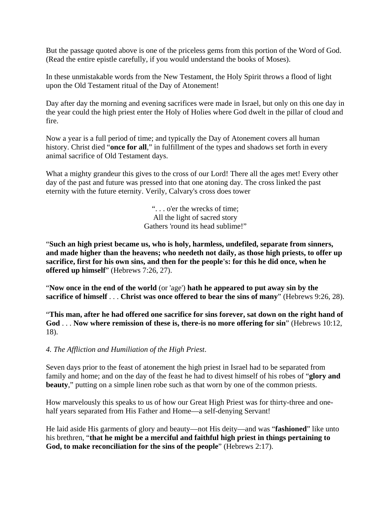But the passage quoted above is one of the priceless gems from this portion of the Word of God. (Read the entire epistle carefully, if you would understand the books of Moses).

In these unmistakable words from the New Testament, the Holy Spirit throws a flood of light upon the Old Testament ritual of the Day of Atonement!

Day after day the morning and evening sacrifices were made in Israel, but only on this one day in the year could the high priest enter the Holy of Holies where God dwelt in the pillar of cloud and fire.

Now a year is a full period of time; and typically the Day of Atonement covers all human history. Christ died "**once for all**," in fulfillment of the types and shadows set forth in every animal sacrifice of Old Testament days.

What a mighty grandeur this gives to the cross of our Lord! There all the ages met! Every other day of the past and future was pressed into that one atoning day. The cross linked the past eternity with the future eternity. Verily, Calvary's cross does tower

> ". . . o'er the wrecks of time; All the light of sacred story Gathers 'round its head sublime!"

"**Such an high priest became us, who is holy, harmless, undefiled, separate from sinners, and made higher than the heavens; who needeth not daily, as those high priests, to offer up sacrifice, first for his own sins, and then for the people's: for this he did once, when he offered up himself**" (Hebrews 7:26, 27).

"**Now once in the end of the world** (or 'age') **hath he appeared to put away sin by the sacrifice of himself** . . . **Christ was once offered to bear the sins of many**" (Hebrews 9:26, 28).

"**This man, after he had offered one sacrifice for sins forever, sat down on the right hand of God** . . . **Now where remission of these is, there-is no more offering for sin**" (Hebrews 10:12, 18).

*4. The Affliction and Humiliation of the High Priest*.

Seven days prior to the feast of atonement the high priest in Israel had to be separated from family and home; and on the day of the feast he had to divest himself of his robes of "**glory and beauty**," putting on a simple linen robe such as that worn by one of the common priests.

How marvelously this speaks to us of how our Great High Priest was for thirty-three and onehalf years separated from His Father and Home—a self-denying Servant!

He laid aside His garments of glory and beauty—not His deity—and was "**fashioned**" like unto his brethren, "**that he might be a merciful and faithful high priest in things pertaining to God, to make reconciliation for the sins of the people**" (Hebrews 2:17).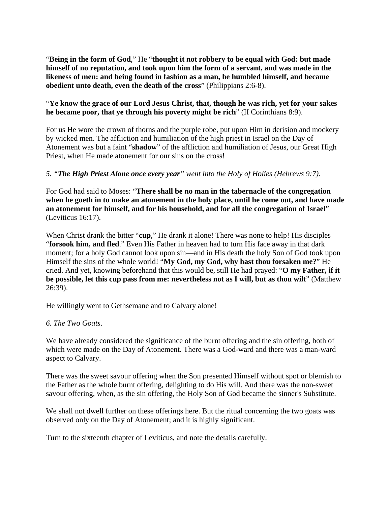"**Being in the form of God**," He "**thought it not robbery to be equal with God: but made himself of no reputation, and took upon him the form of a servant, and was made in the likeness of men: and being found in fashion as a man, he humbled himself, and became obedient unto death, even the death of the cross**" (Philippians 2:6-8).

#### "**Ye know the grace of our Lord Jesus Christ, that, though he was rich, yet for your sakes he became poor, that ye through his poverty might be rich**" (II Corinthians 8:9).

For us He wore the crown of thorns and the purple robe, put upon Him in derision and mockery by wicked men. The affliction and humiliation of the high priest in Israel on the Day of Atonement was but a faint "**shadow**" of the affliction and humiliation of Jesus, our Great High Priest, when He made atonement for our sins on the cross!

### *5. "The High Priest Alone once every year" went into the Holy of Holies (Hebrews 9:7).*

For God had said to Moses: "**There shall be no man in the tabernacle of the congregation when he goeth in to make an atonement in the holy place, until he come out, and have made an atonement for himself, and for his household, and for all the congregation of Israel**" (Leviticus 16:17).

When Christ drank the bitter "**cup**," He drank it alone! There was none to help! His disciples "**forsook him, and fled**." Even His Father in heaven had to turn His face away in that dark moment; for a holy God cannot look upon sin—and in His death the holy Son of God took upon Himself the sins of the whole world! "**My God, my God, why hast thou forsaken me?**" He cried. And yet, knowing beforehand that this would be, still He had prayed: "**O my Father, if it be possible, let this cup pass from me: nevertheless not as I will, but as thou wilt**" (Matthew 26:39).

He willingly went to Gethsemane and to Calvary alone!

#### *6. The Two Goats*.

We have already considered the significance of the burnt offering and the sin offering, both of which were made on the Day of Atonement. There was a God-ward and there was a man-ward aspect to Calvary.

There was the sweet savour offering when the Son presented Himself without spot or blemish to the Father as the whole burnt offering, delighting to do His will. And there was the non-sweet savour offering, when, as the sin offering, the Holy Son of God became the sinner's Substitute.

We shall not dwell further on these offerings here. But the ritual concerning the two goats was observed only on the Day of Atonement; and it is highly significant.

Turn to the sixteenth chapter of Leviticus, and note the details carefully.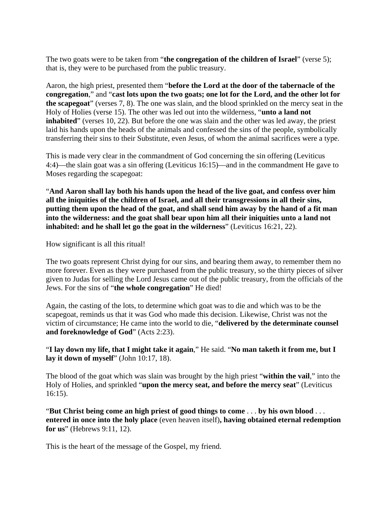The two goats were to be taken from "**the congregation of the children of Israel**" (verse 5); that is, they were to be purchased from the public treasury.

Aaron, the high priest, presented them "**before the Lord at the door of the tabernacle of the congregation**," and "**cast lots upon the two goats; one lot for the Lord, and the other lot for the scapegoat**" (verses 7, 8). The one was slain, and the blood sprinkled on the mercy seat in the Holy of Holies (verse 15). The other was led out into the wilderness, "**unto a land not inhabited**" (verses 10, 22). But before the one was slain and the other was led away, the priest laid his hands upon the heads of the animals and confessed the sins of the people, symbolically transferring their sins to their Substitute, even Jesus, of whom the animal sacrifices were a type.

This is made very clear in the commandment of God concerning the sin offering (Leviticus 4:4)—the slain goat was a sin offering (Leviticus 16:15)—and in the commandment He gave to Moses regarding the scapegoat:

"**And Aaron shall lay both his hands upon the head of the live goat, and confess over him all the iniquities of the children of Israel, and all their transgressions in all their sins, putting them upon the head of the goat, and shall send him away by the hand of a fit man into the wilderness: and the goat shall bear upon him all their iniquities unto a land not inhabited: and he shall let go the goat in the wilderness**" (Leviticus 16:21, 22).

How significant is all this ritual!

The two goats represent Christ dying for our sins, and bearing them away, to remember them no more forever. Even as they were purchased from the public treasury, so the thirty pieces of silver given to Judas for selling the Lord Jesus came out of the public treasury, from the officials of the Jews. For the sins of "**the whole congregation**" He died!

Again, the casting of the lots, to determine which goat was to die and which was to be the scapegoat, reminds us that it was God who made this decision. Likewise, Christ was not the victim of circumstance; He came into the world to die, "**delivered by the determinate counsel and foreknowledge of God**" (Acts 2:23).

"**I lay down my life, that I might take it again**," He said. "**No man taketh it from me, but I lay it down of myself**" (John 10:17, 18).

The blood of the goat which was slain was brought by the high priest "**within the vail**," into the Holy of Holies, and sprinkled "**upon the mercy seat, and before the mercy seat**" (Leviticus 16:15).

"**But Christ being come an high priest of good things to come** . . . **by his own blood** . . . **entered in once into the holy place** (even heaven itself)**, having obtained eternal redemption for us**" (Hebrews 9:11, 12).

This is the heart of the message of the Gospel, my friend.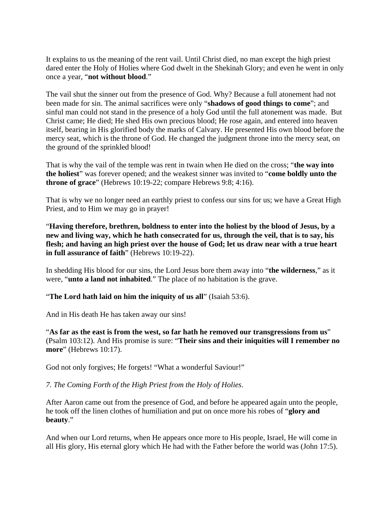It explains to us the meaning of the rent vail. Until Christ died, no man except the high priest dared enter the Holy of Holies where God dwelt in the Shekinah Glory; and even he went in only once a year, "**not without blood**."

The vail shut the sinner out from the presence of God. Why? Because a full atonement had not been made for sin. The animal sacrifices were only "**shadows of good things to come**"; and sinful man could not stand in the presence of a holy God until the full atonement was made. But Christ came; He died; He shed His own precious blood; He rose again, and entered into heaven itself, bearing in His glorified body the marks of Calvary. He presented His own blood before the mercy seat, which is the throne of God. He changed the judgment throne into the mercy seat, on the ground of the sprinkled blood!

That is why the vail of the temple was rent in twain when He died on the cross; "**the way into the holiest**" was forever opened; and the weakest sinner was invited to "**come boldly unto the throne of grace**" (Hebrews 10:19-22; compare Hebrews 9:8; 4:16).

That is why we no longer need an earthly priest to confess our sins for us; we have a Great High Priest, and to Him we may go in prayer!

"**Having therefore, brethren, boldness to enter into the holiest by the blood of Jesus, by a new and living way, which he hath consecrated for us, through the veil, that is to say, his flesh; and having an high priest over the house of God; let us draw near with a true heart in full assurance of faith**" (Hebrews 10:19-22).

In shedding His blood for our sins, the Lord Jesus bore them away into "**the wilderness**," as it were, "**unto a land not inhabited**." The place of no habitation is the grave.

#### "**The Lord hath laid on him the iniquity of us all**" (Isaiah 53:6).

And in His death He has taken away our sins!

"**As far as the east is from the west, so far hath he removed our transgressions from us**" (Psalm 103:12). And His promise is sure: "**Their sins and their iniquities will I remember no more**" (Hebrews 10:17).

God not only forgives; He forgets! "What a wonderful Saviour!"

*7. The Coming Forth of the High Priest from the Holy of Holies*.

After Aaron came out from the presence of God, and before he appeared again unto the people, he took off the linen clothes of humiliation and put on once more his robes of "**glory and beauty**."

And when our Lord returns, when He appears once more to His people, Israel, He will come in all His glory, His eternal glory which He had with the Father before the world was (John 17:5).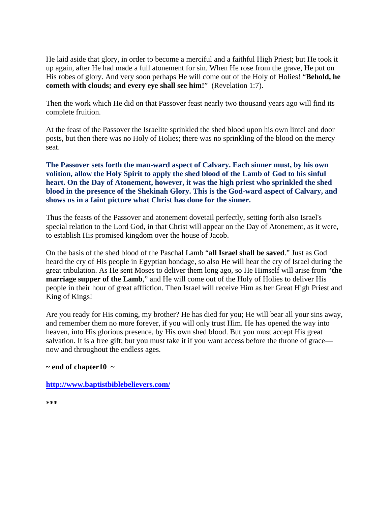He laid aside that glory, in order to become a merciful and a faithful High Priest; but He took it up again, after He had made a full atonement for sin. When He rose from the grave, He put on His robes of glory. And very soon perhaps He will come out of the Holy of Holies! "**Behold, he cometh with clouds; and every eye shall see him!**" (Revelation 1:7).

Then the work which He did on that Passover feast nearly two thousand years ago will find its complete fruition.

At the feast of the Passover the Israelite sprinkled the shed blood upon his own lintel and door posts, but then there was no Holy of Holies; there was no sprinkling of the blood on the mercy seat.

**The Passover sets forth the man-ward aspect of Calvary. Each sinner must, by his own volition, allow the Holy Spirit to apply the shed blood of the Lamb of God to his sinful heart. On the Day of Atonement, however, it was the high priest who sprinkled the shed blood in the presence of the Shekinah Glory. This is the God-ward aspect of Calvary, and shows us in a faint picture what Christ has done for the sinner.**

Thus the feasts of the Passover and atonement dovetail perfectly, setting forth also Israel's special relation to the Lord God, in that Christ will appear on the Day of Atonement, as it were, to establish His promised kingdom over the house of Jacob.

On the basis of the shed blood of the Paschal Lamb "**all Israel shall be saved**." Just as God heard the cry of His people in Egyptian bondage, so also He will hear the cry of Israel during the great tribulation. As He sent Moses to deliver them long ago, so He Himself will arise from "**the marriage supper of the Lamb**," and He will come out of the Holy of Holies to deliver His people in their hour of great affliction. Then Israel will receive Him as her Great High Priest and King of Kings!

Are you ready for His coming, my brother? He has died for you; He will bear all your sins away, and remember them no more forever, if you will only trust Him. He has opened the way into heaven, into His glorious presence, by His own shed blood. But you must accept His great salvation. It is a free gift; but you must take it if you want access before the throne of grace now and throughout the endless ages.

#### **~ end of chapter10 ~**

**<http://www.baptistbiblebelievers.com/>**

**\*\*\***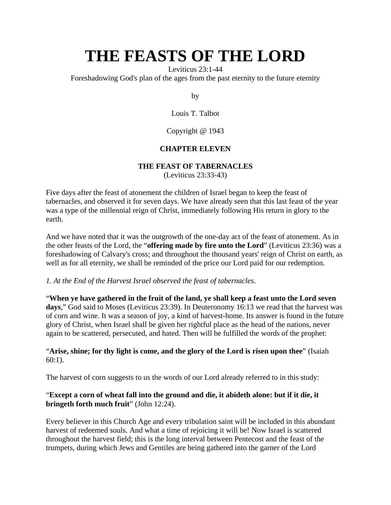Leviticus 23:1-44

Foreshadowing God's plan of the ages from the past eternity to the future eternity

by

Louis T. Talbot

Copyright @ 1943

## **CHAPTER ELEVEN**

### **THE FEAST OF TABERNACLES**

(Leviticus 23:33-43)

Five days after the feast of atonement the children of Israel began to keep the feast of tabernacles, and observed it for seven days. We have already seen that this last feast of the year was a type of the millennial reign of Christ, immediately following His return in glory to the earth.

And we have noted that it was the outgrowth of the one-day act of the feast of atonement. As in the other feasts of the Lord, the "**offering made by fire unto the Lord**" (Leviticus 23:36) was a foreshadowing of Calvary's cross; and throughout the thousand years' reign of Christ on earth, as well as for all eternity, we shall be reminded of the price our Lord paid for our redemption.

#### *1. At the End of the Harvest Israel observed the feast of tabernacles*.

"**When ye have gathered in the fruit of the land, ye shall keep a feast unto the Lord seven days**," God said to Moses (Leviticus 23:39). In Deuteronomy 16:13 we read that the harvest was of corn and wine. It was a season of joy, a kind of harvest-home. Its answer is found in the future glory of Christ, when Israel shall be given her rightful place as the head of the nations, never again to be scattered, persecuted, and hated. Then will be fulfilled the words of the prophet:

#### "**Arise, shine; for thy light is come, and the glory of the Lord is risen upon thee**" (Isaiah 60:1).

The harvest of corn suggests to us the words of our Lord already referred to in this study:

## "**Except a corn of wheat fall into the ground and die, it abideth alone: but if it die, it bringeth forth much fruit**" (John 12:24).

Every believer in this Church Age and every tribulation saint will be included in this abundant harvest of redeemed souls. And what a time of rejoicing it will be! Now Israel is scattered throughout the harvest field; this is the long interval between Pentecost and the feast of the trumpets, during which Jews and Gentiles are being gathered into the garner of the Lord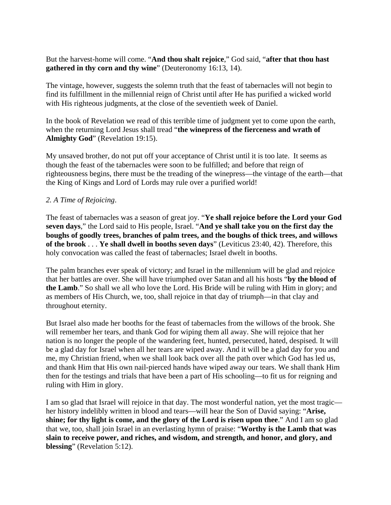But the harvest-home will come. "**And thou shalt rejoice**," God said, "**after that thou hast gathered in thy corn and thy wine**" (Deuteronomy 16:13, 14).

The vintage, however, suggests the solemn truth that the feast of tabernacles will not begin to find its fulfillment in the millennial reign of Christ until after He has purified a wicked world with His righteous judgments, at the close of the seventieth week of Daniel.

In the book of Revelation we read of this terrible time of judgment yet to come upon the earth, when the returning Lord Jesus shall tread "**the winepress of the fierceness and wrath of Almighty God**" (Revelation 19:15).

My unsaved brother, do not put off your acceptance of Christ until it is too late. It seems as though the feast of the tabernacles were soon to be fulfilled; and before that reign of righteousness begins, there must be the treading of the winepress—the vintage of the earth—that the King of Kings and Lord of Lords may rule over a purified world!

#### *2. A Time of Rejoicing*.

The feast of tabernacles was a season of great joy. "**Ye shall rejoice before the Lord your God seven days**," the Lord said to His people, Israel. "**And ye shall take you on the first day the boughs of goodly trees, branches of palm trees, and the boughs of thick trees, and willows of the brook** . . . **Ye shall dwell in booths seven days**" (Leviticus 23:40, 42). Therefore, this holy convocation was called the feast of tabernacles; Israel dwelt in booths.

The palm branches ever speak of victory; and Israel in the millennium will be glad and rejoice that her battles are over. She will have triumphed over Satan and all his hosts "**by the blood of the Lamb**." So shall we all who love the Lord. His Bride will be ruling with Him in glory; and as members of His Church, we, too, shall rejoice in that day of triumph—in that clay and throughout eternity.

But Israel also made her booths for the feast of tabernacles from the willows of the brook. She will remember her tears, and thank God for wiping them all away. She will rejoice that her nation is no longer the people of the wandering feet, hunted, persecuted, hated, despised. It will be a glad day for Israel when all her tears are wiped away. And it will be a glad day for you and me, my Christian friend, when we shall look back over all the path over which God has led us, and thank Him that His own nail-pierced hands have wiped away our tears. We shall thank Him then for the testings and trials that have been a part of His schooling—to fit us for reigning and ruling with Him in glory.

I am so glad that Israel will rejoice in that day. The most wonderful nation, yet the most tragic her history indelibly written in blood and tears—will hear the Son of David saying: "**Arise, shine; for thy light is come, and the glory of the Lord is risen upon thee**." And I am so glad that we, too, shall join Israel in an everlasting hymn of praise: "**Worthy is the Lamb that was slain to receive power, and riches, and wisdom, and strength, and honor, and glory, and blessing**" (Revelation 5:12).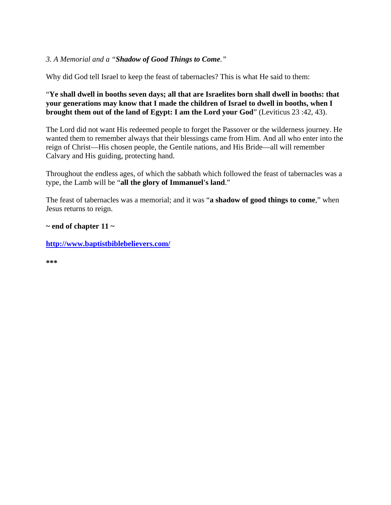### *3. A Memorial and a "Shadow of Good Things to Come."*

Why did God tell Israel to keep the feast of tabernacles? This is what He said to them:

### "**Ye shall dwell in booths seven days; all that are Israelites born shall dwell in booths: that your generations may know that I made the children of Israel to dwell in booths, when I brought them out of the land of Egypt: I am the Lord your God**" (Leviticus 23 :42, 43).

The Lord did not want His redeemed people to forget the Passover or the wilderness journey. He wanted them to remember always that their blessings came from Him. And all who enter into the reign of Christ—His chosen people, the Gentile nations, and His Bride—all will remember Calvary and His guiding, protecting hand.

Throughout the endless ages, of which the sabbath which followed the feast of tabernacles was a type, the Lamb will be "**all the glory of Immanuel's land**."

The feast of tabernacles was a memorial; and it was "**a shadow of good things to come**," when Jesus returns to reign.

#### **~ end of chapter 11 ~**

**<http://www.baptistbiblebelievers.com/>**

**\*\*\***